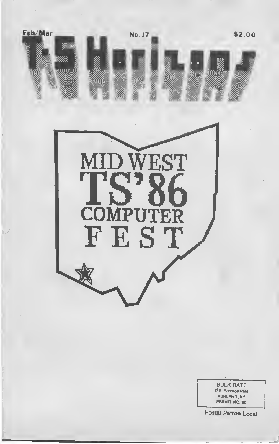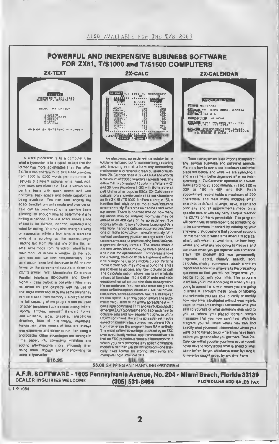### POWERFUL AND INEXPENSIVE BUSINESS SOFTWARE FOR ZX81, T/S1000 and T/S1500 COMPUTERS



A word processor is lo a computer user what a typewriter is to a typist, except that the former hes more advantages than the latter 2X-Text can operate m 16-64K RAM providing from 1300 to 6500 words per document It leatures 6 different optrons write, read, edit, print, save and clear text Text is written on a per-kne basis with quick speed and with nonjontai back space and delete capabilities being available You can also access the editor directly from write mode and vice-versa Text can be proof-read on a per-line basis allowing for enough time to determine it any editing is needed. The text editor allows a line ot text to be deleted, inserted, replaced and hated tor editing You may also change a word or expression within a line, stop or start text while it is scrolling up the screen, begin reading taxt from the first line of the tile, raenter write mode from the editor, return to the mam-menu or create <sup>a</sup> window so that you can read-adil two tiles simultaneously. The prim option takes text displayed m 30-column format on the screen and outputs to either the ZX/TS primer. (With Memotech's Centronics Parallel Interlace 80-column and lower/ higher - case output is posarble ) Fites may be saved on laps cassette with the use of one single command, or by the same token they can be erased from memory / storage ao that the lull capacity ot me program can be used lor other purposes such as composing letters, reports, articles, memos.' standard forma. instructions, ads. graphs, telephone directory, inits of customers, members, friends etc Also copies ot tiles are always less expensive and easier to run than using a photocopier Other advantages are savings in time, paper, mk. correcting mistakes and adding afterthoughts more efficiently than doing them through either handwriting or using a typewriter



An electronic spreadsheet calculator is the fundamental basic tool lor summarising, reporting and analyzing m matrix form any accounting, mathematical or scientific manipulation ot num bars ZX-Calc operates m 32-64K RAM and affords a maximum of 3360 characters /spreadsheet The entire matrix consists of 15 columns (letters A-O) and 30 rows (numbers <sup>I</sup> -30) with 8 characters/ celt Unlike other popular ESCs. ZX-Calc uses in calculations and within cells all <sup>1</sup> 4 math functions on the zx-et /TStOOO It otters a unique "SUM function that totals one or more rows/columns aimultaneously Parenthesia can be used within equations. There is no tixed limit on how many equations may be entered Formulas may be stored in ell 420 cells of the spreadsheet. The display attords <sup>1</sup> 5 rows/cdums Loading of data into more than one cell can occur across/down one or more row/column simultaneously With vertical windowing you can arrange a set ol columns in any order, or practice using fixed-vanable-<br>alignment display formats. The menu offera 6 options enter /erase. move. calculate. print. save and clear the spreadsheet Enter /erase allows the entering, deletion or data alignment within a cell through the use ot a mobile cursor With the move option you may move around the entire sreadsheet to access any row. column or cell The calculate option allows you to enter labels, values or formulas into a cell or write and enter equations that will act upon the data already within the spreadsheet You can also enter bar graphs vto seek mime option Absoiule/reletive replication. down / across a column /row. is also allowed by this option Also this option allows the automatic calculation ol the entire spreadsheet with one single command Prmtallowsyoutooutputto ether the ZX/TS printer the entire spreadsheet by<br>column-sets and row-baces thiquigh use of the COPY command The entire apreadsheel may be saved on cassette (ape or you may clear all data from rior erase the program from RAM antiraly The most salient advantage provided by an ESC over specifically vertical applications software is that an ESC provides a reusable framework with which you can compose any apactlic financial model rather than just be limited to only one statically fixed format for storing, draplaying and manipulating numerical data

ZX-TEXT ZX-CALC ZX-CALENDAR



Time management is an important aspect ot any serious business and personal agenda Planning how to apend our time leaves us better prepered before and while we are spending it and wa remain better droanized after wa finish spending it. ZX-Calender operates in 16-64K RAM affording 25 appointments in 16K, 100 m<br>32K of 180 in 48K and 84K Each ol 180 in 48K and 84K appointment record holds a maximum ot 220 characters The main menu includes enter, search/check/son. change, save, deer and print any and all appointments made on a specific date or with any party Output to either the ZX/TS printer is permissible This program will permit you to remember to do something or to be somewhere important by cataloging your answers to six questions that you must account lor in order not to waste time when it is scarce when, with whom, at what time, for how long, where and what are you going to discuss and conclude when you gel together with someone else? The program lets you permanently originate, record, classify, search, sort, calculate, modify, aummariza, obtain a written report and store your answers lo the preceding questions so thal you will not forget what you becide to do with your time. This program identifies your time according to when you are going ld spend it and with whom you are going to share 4 Through these forma of labeling appointments you are able to verify or modify how your time is budgeted without wasting ink. paper or more time trying to remember what you said to yourself or what someone else said to you or where you placed certain written messages that you now cant find With this program you will know where you can find exactly what you need to know about whore you want to and have to be. or where you have been, before you get and after you got there. Thus, 2X-Calendar will let you plan your time so that you will never have to worry about what is ahead or what came before, for you will always know, by using it, lo never be caught astray by any tune-frame

\$16.95

\$16.95

\$16.95 \$3.00 SHIPPING AND HANDLING /PROGRAM

A.F.R. SOFTWARE - <sup>1605</sup> Pennsylvania Avenue, No. <sup>204</sup> - Miami Beach, Florida 33139 **FLORIDIANS ADD SALES TAX** 

 $L·1$   $0$  1984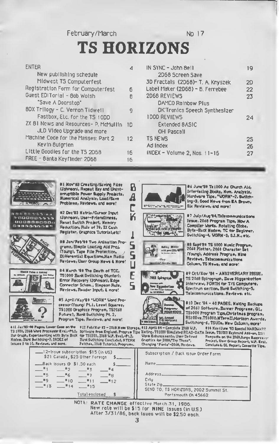February/March No 17

# TS HORIZONS

8  $\overline{A}$ Ċ

5

S

Ц

Ē

5

| ENTER                                 |    |
|---------------------------------------|----|
| New publishing schedule               |    |
| Midwest TS Computerfest               |    |
| Registration Form for Computerfest    | 6  |
| Guest EDITorial - 8ob Wolsh           | R  |
| "Save A Doorstop"                     |    |
| 8DX Trilogy - C. Vernon Tidwell       |    |
| Fastbox, Etc. for the TS 10DD         |    |
| ZX 81 News and Resources- P. McMullin | ΪD |
| JLD Video Upgrade and more            |    |
| Machine Code for the Masses: Part 2   | 12 |
| Kevin 8uigrien                        |    |
| Little Goodies for the TS 2D68        | 16 |
| FREE - 8anta KeyfInder 2D68           | 16 |
|                                       |    |

| IN SYNC - John Bell                  | 19        |
|--------------------------------------|-----------|
| 2068 Screen Save                     |           |
| 3D Fractals (2D68)- T. A. Knyszek    | 2D        |
| Label Maker (2068) - B. Ferrebee     | 22        |
| 2068 REVIEWS                         | 23        |
| DAMCO Rainbow Plus                   |           |
| <b>DK'Tronics Speech Synthesizer</b> |           |
| <b>IDDD REVIEWS</b>                  | 24        |
| <b>Extended 8ASIC</b>                |           |
| OHI Pascall                          |           |
| <b>TS NEWS</b>                       | <b>2S</b> |
| Ad Index                             | 26        |
| INDEX - Volume 2, Nos. 11-16         | 27        |
|                                      |           |



אים המיוח ממים מ **MODDODANSA** 800000000*0* ◎運用機器作用の画形



(Johnson), User-Friendliness, R#set Switch Project, Nemory







Reviews, User Oroup News & Nore! #4 March '09 The Death of TCC, TS1000 Bank Switching (Hunter), Brror Recovery (Johnson), Bdgs Connector Schem., Simpson Rule, Reviews, Reader Input, & more!

Differential Equations, Ham Radio

#5 April/Hay'8# "WORN" Word Procreson(Young) Pt.i, Leest Squaree, TS1000 Graphice Progrem, TS2068 Future?, Bank Switching Pt. 2, Program Tips, Reviews, and more!

811 Jan'85-40 Pages, Lower Cose on the TS 1000, 2068 Word Processor Eval.-Pt.1, Ear Graph, Experimenting with Byte Back for TS1000, 2049 W.P. Eval.-Pt.2,<br>Hodew, Bark Bwitching-7, IRDGX of Bank Switching Concluded, HTERP Issues I to 10, Reviews, and nore.

#12 Feb/Har #5 - 2069 Hess Storage, #13 April 84 - Complete 2069 W.P. Bark Switching Concluded, NTERN<br>Patchee, 2069 Tutorial, Programe,

75.72 **Liberato** 

#4 June'8# Te1000 Ae Church Aid. Interfacing Books, Num. Analyeie, Hardware Tips, "WORN"-2, Bwitching-3, Good News from EA Brown, Six Reviews, and more!











48 Sapt'84 TS 1000 Music Program<br>2068 Plotter, 2068 Character Set (Young), Address Program, Hine Reviews, Telecommunications Column, TS News, and more!

«9 Oct/Nov '84 - ANNIVERSARY ISSUE, TS 2068 Spirograph, Dave Higgenbottom interview, FORTH for T/S Computere, Spectrum section, Bank Switching-5, Telecommunications, Reviews, etc.

#10 Dec '84 - 40 PAGES, Halding Backups of 2068 Software, Banner Programe, QL, TS1000 Program Tips Christmas program, RS100ve.TS1000,NTermII.Horizon Awerde, Switching-6, TSUGs, New Column, more!

Worm Echancamente, User Defined Graphics for 2080, "Try These", Changing \*Fonte\*-2060, Reviews,

mode

014 Hay/June '03 Special HARDWARR Software from England, Program Tips Heting, 781000 Simulated READ-DATA Jesue, TS1000 Keyboard Add-on, 2221 Rampacks on the 2010 Rampacks on the 2010 Rampacks on the 2010 Report, U.P. Eval.<br>Project, Uter Group Report, U.P. Eval.<br>Concluded, GL Report, Casestie Tipe.

| 12-Issue subscription \$15 (in US)<br>\$21 Canada, \$25 Other Foreign                          | Subscription / Back issue Order Form.                                                   |
|------------------------------------------------------------------------------------------------|-----------------------------------------------------------------------------------------|
| Back issues @ \$1.50 each<br>$-12$<br>单点<br><b>TELESTING</b><br>.≡5<br>$ +$ 6.7<br>$-27$<br>#8 | Name________________<br>Address.                                                        |
| —"9∶<br>$ *$ 10<br>$-111$<br>$-12$<br>Totalenclosed                                            | Citu<br>State Zip______<br>SEND TO: TS HORIZONS, 2002 Summit St.<br>Portsmouth Oh 45662 |

NOTE: RATE CHANGE effective March 31, 1906. New rote will be \$15 for NINE 1ssues (in U.S.)<br>After 3/31/86, bock isues will be \$2.50 eoch.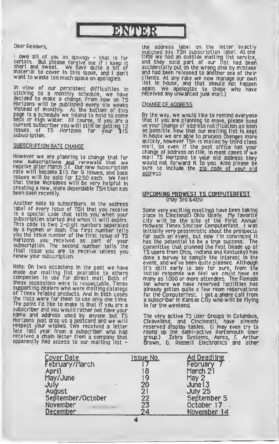# **ВМОВЯ**

### Dear Readers,

<sup>I</sup> owe all of you an apology - that Is for certain. But please forgive me if I keep it<br>short and sweet. We have quite a bit of<br>material to cover in this issue, and I don't<br>want to waste too much space on apologies.

In view of our persistent difficulties In sticking to <sup>a</sup> monthly schedule, we have decided to make <sup>a</sup> change. From now on T5 Horizons will be published every six weeks Instead of monthly. AL the bottom of this page Is <sup>a</sup> schedule we Intend to hold to come heck or high water Of course, If you are <sup>a</sup> current subscriber you will still be getting <sup>12</sup> issues of TS Horizons for your \$15

### **SUBSCRIPTION RATE CHANGE**

However we are planning to change that for<br>new subscriptions <u>and</u> renewals that we receive after March 31. Our new subscription rate will become \$15 for 9 issues, and back issues will be sold for \$2.50 each. We feel that these increases will be very helpful in creating a new, more dependable TSH than has been seen recently.

Another note to subscribers. In the address label of every issue of TSH that you receive is a special code that tells you when your subscription started and when it will expire. This code is two 2-digit numbers seperated by a hyphen or dash. The first number tells<br>you the issue number of the first issue of TS Horizons you received as part of your subscription. The second number tells the final issue you are to receive unless you renew your subscription.

Note: On two occasions in the past we have made our mailing list available to others companies to use for direct mail. Both of these occassions were to respectable, Timex supporting dealers who were mailing catalogs of Timex related products. And in both cases the lists were for them to use only one time. The point I'd like to make Is that if you are <sup>a</sup> subscriber and you would rather not have your name and address used by anyone but TS Horizons Just drop us a postcard and we will respect your wishes. (We received a letter late last year from a subscriber who had received a chain letter from a company that<br>apparently had access to our mailing list -

the address label on the letter exactly matched his TSH subscription label. Atone time we had an outside mailing list service, and they said part of our list had been accidentally put on the wrong disk by mistake and had been released to another one of their clients. At any rate we now manage our own list in house, and that should not happen again. We apologize to those who have received any unwanted Junk mall.)

### **CHANGE OF ADDRESS**

By the way, we would like to remind everyone that If you are planning to move, please send us your change of address notification as soon as possible. Now that our mailing list Is kept In house we are able to process changes more quickly, however TSH is mailed by third class mall, so even if the post office has your change of address on file, in most cases If we mall TS Horizons to your old address they would not forward it to you. Also please be sure to include the zip code of vour old address.

## UPCOMING MIDWEST TS COMPUTERFEST

Some very exciting meetings have been taking place in Cincinnati Ohio lately. My favorite city will be the site of the First Annual Midwest Timex Sinclair Computerfest. <sup>I</sup> was initially very pessimistic about the prospects for sucn an event, but now I'm convinced it has the potential to be a true success. The committee that planned the Fest (made up of TS users from Ohio, Indiana and Kentucky) has done a survey to sample the interest in the event, and we've been quite pleased. Although It's still early to say for sure, from tne initial response we feel we could have as many as 1000 or more attendees. The Ramada Inn where we have reserved facilities has already qotten quite a few room reservations for the Computerfest. <sup>I</sup> got a phone call from a subscriber in Kansas City who will be flying In for the weekend.

The very active TS User Groups In Columbus. Cleaveland, and Cincinnati, have already reserved display tables. (I may even try to round up the semi-active Portsmouth user group.) Zebra Systems, Aerco, E. Arthur Brown, G. Russell Electronics and other

| Cover Date        | <b>Issue No.</b> | Ad Deadline    |
|-------------------|------------------|----------------|
| February/March    |                  | February       |
| <b>April</b>      | 18               | March 21       |
| May/June          | 19               | May 2          |
| July              | 20               | June 13        |
| August            | 21               | <b>July 25</b> |
| September/October | 22               | September 5    |
| November          | 23               | October 17     |
| <b>December</b>   | 24               | November 14    |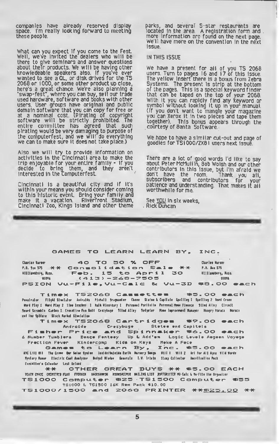companies have already reserved display space. I'm really looking forward lo meeting these people.

What can you expect if you come to the Fest. Well, we've invited the dealers who will be there to give seminars and answer questions about their products. We will be having other knowledeable speakers also. If you've ever wanted to see a QL, or disk drives for the TS 2068 or <sup>1</sup> 000. or some other product up close, here's a great chance. We're also planning a "swap- fest", where you can buy. sell our trade used hardware, software and books with other users. User groups have original and public domain software that you can copy for free or at a nominal cost. {Pirating of copyright software will be strictly prohibited. The entire committee has agreed that such pirating would be very damaging to purpose of the computerfest, and we will do everything we can to make sure It does not take place.)

Also we will try to provide Information on activities in the Cincinnati area to make the trip enjoyable for your entire family - if you decide to bring them, and they aren't Interested in the computerfest.

Cincinnati is a beautiful city and if it's within your means you should consider coming to this historic event. Bring your family and make it a vacation. Riverfront Stadium, Cincinnati Zoo, Kings Island and other theme parks, and several S-star restaurants are<br>located in the area. A registration form and. more information are found on the next page. We'll have more on the convention in the next issue.

### IN THIS ISSUE

We have a present for all of you TS 2068 users. Turn to pages 16 and 17 of this issue. The yellow Insert there is a bonus from Zebra Systems. The present is strip at the bottom of the pages. This is a special keyword finder that can be taped on the top of your 2068. With It you can rapidly find any keyword or symbol without looking It up In your manual. (If you don't want to mangle your magazine you can Xerox It In two pieces and tape them together). This bonus appears through the courtesy of Banta Software.

We hope to have a similar cut-out and page of goodies for TSI000/ZX8I users next issue.

There are <sup>a</sup> lot of good words I'd like to say about Peter McMullln, Bob Wolsh and our othercontributors In this issue, but I'm afraid we don't have the room. Thank you all, subscribers and contributors for your patience and understanding. That makes it all<br>worthwhile for me.

I

See YOU in six weeks, Rick Duncan

#### GAMES TO LEARN LEARN BY, INC.

Ckarlta Hum \*\*0 TO SO % OFF P.0. loi 33 \*\* Consolidation Sale \*\*<br>Williamberg, Km. – Feb. 15 to April 30 •llllmtiri, lin. F»b. IS to Aprl <sup>1</sup> 30 lim (413) — Z63 — 7SOS F»SION Vu-Fl !•, Vu-CAlC VU-3D IlfM »8 . OO »«c t-> Charlee Harner f.O. lot 575 **Willianoburg, Naso.** 

Timex TS2O68 Casseettes – \$5.00 each<br>finalizator Filiph Sincialor Adiculty Pubal) Segueler Gree Station Explicity Copeliting 2 Vort Crone Word Play 1 Ward Play 2 Jine leacher I Halk Wiserdary I Perganai Portfolia Pareonal Howe Finance 91ind Allay Circuit Jeard Scramble Caelmo I Croselice Fue Golf Crezybuge - Siled Alley - Sefgeter - Home Improvement Manager - Hungry Horaca - Morace<br>end the Spidere - Sloch Marhel Stwelation

aa< II\* Spiltri Stock larktl SlMlalloa Timaax TSZ06S Cartr ldgaa 09. OO amch

Androide – Crezybuge – Statae and Capitals<br>Fisher Price and Spinnaker #6.00 each<br>6 Number Tumblers Dence Fentasy Up k-Add'em Logic Levele Aegeen Voyage

Frection Fever Kindercomp Kids on Keys Meke A Fece<br>Gaunnes to Learn By , Inc. \* 1956 OO each<br>tK till Hi The Crow for Solar System Tarifri/tella Earth Nurery Solys Rtill Vill 2 Art For All Ayes Vild Vorle Myslery Nanor - Electric Cael Anniytur - Bufgul Mieder - Generala - I.V. Iriula - Staup Collector - Anoriluniiou Pack

Elicitin'\* Caltalar Loot Island A# OTHER GREAT BUYS \*\* \*3 .OO EACH TS1000 Computer #25 TS1500 Computer #53<br>TS1000 & TS1500 I&K Rem Pack \$10.00

TS1000/1500 and 2068 PRINTER \*\* B25.00 \*\*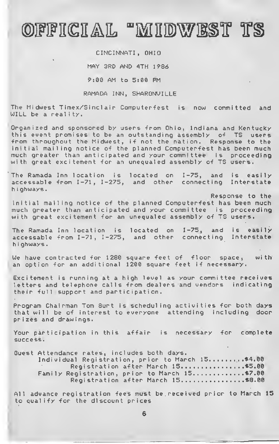# OFFICIAL "MIDWEST TS

CINCINNATI, OHIO MAY 3RD AND 4TH 1986 9:00 AM to 5:00 PM

RAMADA INN, SHARONVILLE

The Midwest Timex/Sinclair Computerfest is now committed and WILL be a reality.

Organized and sponsored by users from Ohio, Indiana and Kentucky this event promises to be an outstanding assembly of TS users •from throughout the Midwest, if not the nation. Response to the initial mailing notice of the planned Computerfest has been much much greater than anticipated and your committee is proceeding with great excitement for an unequaled assembly of TS users.

The Ramada Inn location is located on 1-75, and is easily accessable from 1-71, 1-275, and other connecting Interstate <sup>h</sup> <sup>i</sup> ghways

Response to the initial mailing notice of the planned Computerfest has been much much greater than anticipated and your committee is proceeding with great excitement for an unequaled assembly of TS users.

The Ramada Inn location is located on 1-75, and is easily accessable from 1-71, 1-275, and other connecting Interstate h <sup>i</sup> ghways

We have contracted for 1280 square feet of floor space, with an option for an additional 1200 square feet if necessary.

Excitement is running at a high level as your committee receives letters and telephone calls from dealers and vendors indicating their full support and participation.

Program Chairman Tom Burt is scheduling activities for both days that will be of interest to everyone attending including door prizes and drawings.

Your participation in this affair is necessary for complete success.

Guest Attendance rates, includes both days. Individual Registration, prior to March 15..........\$4.00 Registration after March 15................\$5.00 Family Registration, prior to March 15..............\$7.00 Registration after March 15................\$8.00

All advance registration fees must be received prior to March 15 to qualify for the discount prices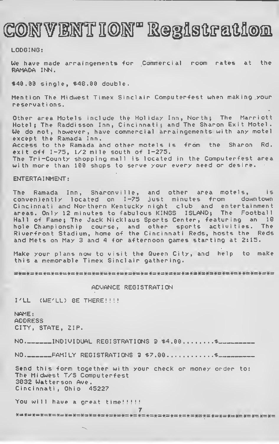# CONVENT ION" Registration

LODGING:

We have made arraingements for Commercial room rates at the RAMADA INN.

\*40.00 single, \*48.00 double.

Mention The Midwest Timex Sinclair Computerfest when making your reservat ions.

Other area Motels include the Holiday Inn, North; The Marriott Hotel; The Raddisson Inn, Cincinnati; and The Sharon Exit Motel. We do not, however, have commercial arraingements with any motel except the Ramada Inn. Access to the Ramada and other motels is from the Sharon Rd. exit off  $I-75$ ,  $1/2$  mile south of  $I-275$ . The Tri-County shopping mall is located in the Computerfest area with more than 100 shops to serve your every need or desire.

### ENTERTAINMENT:

The Ramada Inn, Sharonville, and other area motels, is conven.i entl y located on 1-75 just minutes •from downtown Cincinnati and Northern Kentucky night club and entertainment areas. Only 12 minutes to fabulous KINGS ISLAND; The Football Hall of Fame; The Jack Nicklaus Sports Center, featuring an 18 hole Championship course, and other sports activities. The Riverfront Stadium, home of the Cincinnati Reds, hosts the Reds and Mets on May 3 and 4 for afternoon games starting at 2:15.

Make your plans now to visit the Queen City, and help to make this a memorable Timex Sinclair gathering.

=\*=\*=\*=\*=\*=\*=\*=\*=\*=\*=\*=\*=\*=\*=\*=\*=\*=

### ADVANCE REGISTRATION

I'LL (WE'LL) BE THERE!!!!

NAME: ADDRESS CITY, STATE, ZIP.  $NO_{\tau}$ -----INDIVIDUAL REGISTRATIONS  $2 \cdot \$4.00.........$  $NO_{\texttt{r=1}}$  $FAMILY REGISTRATIONS$   $3$   $$7,80$ ..........\$ Send this form together with your check or money order to: The Midwest T/S Computerfest 3832 Watterson Ave

Cincinnati, Ohio 45227

You will have a great time!!!!!

7 \*=\*=\*\*\*=\*= \*= \*=\*=\*= \*=\*=\*=\*= \*=\*=\*=\*=\*= \*=\*=\*=\*=«=\*=\*=\*= \*=\*= \*=\*= #= #=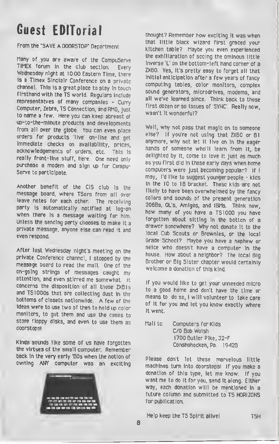# Guest EDITorial

### From the "SAVE A DOORSTOP" Department

Many of you are aware of the CompuServe TIMEX forum In the club section. Every Wednesday night at 10:00 Eastern Time, there is a Timex Sinclair Conference on a private channel. This is a great place to stay In touch firsthand with the TS world. Regulars include representatves of many companies - Curry Computer, Zebra, TS Connection, and RMG, Just to name <sup>a</sup> few. Here you can keep abreast of up-to-the-minute products and developments from all over the globe. You can even place orders for products 'live' on-line and get Immediate checks on availability, prices, acknowledgements of orders, etc. This is really front-line stuff, here. One need only purchase <sup>a</sup> modem and sign up for Compu-Serve to participate.

Another benefit of the CIS club is the message board, where TSers from all over leave notes for each other. The receiving party is automatically notified at log-on when there is a message waiting for him. Unless the sending parly chooses to make it <sup>a</sup> private message, anyone else can read it and even respond.

After last Wednesday night's meeting on the private Conference channel, <sup>I</sup> stopped by the message board to read the mail. One of the on-going strings of messages caught my attention, and even stirred me somewhat. It concerns the disposition of all those ZX8ls and TS <sup>1</sup>000s that are collecting dust in the bottoms of closets nationwide. A few of the ideas were to use two of then to hold up color monitors, to gut them and use the cases to store floppy disks, and even to use them as doorstops!

Kinda sounds like some of us have forgotten the virtues of the small computer. Remember back in the very early '80s when the notion of owning ANY computer was an exciting



thought? Remember how exciting it was when that little black wizard first graced your kitchen table? Maybe you even experienced the exhlliaratlon of seeing the ominous little Inverse 'L' on the bottom-left hand comer of a ZX80. Yes, it's pretty easy to forget all that Initial anticipation after a few years of fancy computing tables, color monitors, complex sound generators, microdrives, modems, and all we've learned since. Think back to those first dozen or so issues of 'SYNC'. Really now, wasn't It wonderful?

Well, why not pass that magic on to someone else? If you're not using that ZX80 or 81 anymore, why not let it live on in the eager hands of someone who'll learn from it, be delighted by it, come to love it just as much as you first did in those early days when home computers were just becoming popular? If <sup>I</sup> may, I'd like to suggest younger people - kids in the 10 to 18 bracket. These kids arc not likely to have been overwhelmed by the fancy colors and sounds of the present generation 2068s, QL's, Amigas, and IBMs. Think now, how many of you have <sup>a</sup> TS1000 you have forgotten about sitting in the botton of a drawer sonewhere? Why not donate it to the local Cub Scouts or Brownies, or the local Grade School? Maybe you have a nephew or neice who doesn't have <sup>a</sup> computer in the house. How about <sup>a</sup> neighbor? The local Big Brother or Big Sister chapter would certainly welcome a donation of this kind.

If you would like to get your unneeded micro to <sup>a</sup> good home and don't have the time or means to do so, <sup>I</sup> will volunteer to take care of it for you and let you know exactly where It went.

Mall to: Computers for Kids C/0 Bob Woish 1700 Butler Pike, 32-F Conshohocken, Pa. 19428

Please don't let these marvelous little machines turn Into doorstops! If you make a donation of this type, let me know. If you want me to do it for you, send it along. Either way, each donation will be mentioned in a future column and submitted to TS HORIZONS for publication.

Help keep the TS Spirit alivel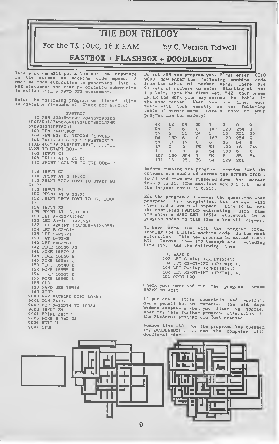

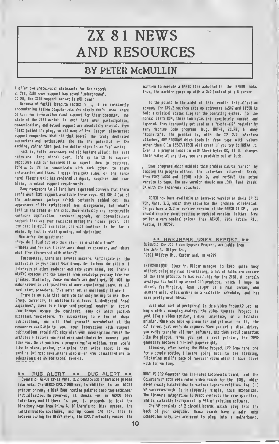

### BY PETER McMULLIN

I offer two unequivocal stateaants for the racord: l: Yes, ZIBI user support has aoved 'undarground'.

2: NO, the IIBI support aarkat is NOT daad!

Becausa of factil fdespita facti2 2 1, 1 am constantly encountering fellow coaputerists aho siaply don't knoa where to turn for intonation about support for their coeputer. The state of the 2181 aarket is such that usar participation, cooaumcation, and eutual support are absolutely crucial. Nhen Timex pulled tha plug, so did many of the larger aftermarket support coepanies. Nhat did that leave? The truly dedicated supporters and enthusiasts uho sae the potential of the eachine, rather than just the dollar signs in an \*up\* aarket.

Fact is, folks ineacoaars and old hackars alike): the free rides are (long since) over. It's up to US to support suppliers aith our business if aa expect them to continue. It's up to US to comeunicate with each other- to share intonation and ideas. <sup>1</sup> speak froa both sides of the fence here: Tinex's exit has rendered us equal, supplier and user alike, in eutual support reguireeents.

Hany neacomors to 21 land have expressed concern that there isn't much IIBI support available these days. NOT SO! A lot of the extraneous garbage (ahich certainly padded out the, appearance of the sarketplace) has disappeared, but uhat's left is the creae of the crop. Naae virtually any conceivable softuare application, harduare upgrade, or coeeunications support that aas evar available during tha 'Timax' peak': all the best is still available, and uill continue to be for <sup>a</sup> uhile. Ny list is still grouing, not shrinking!

Nou arise the questions:

-'Hou do <sup>1</sup> find out uho this stuff is available froa? <sup>1</sup>

-•Uhere and hou can <sup>I</sup> learn aore about ay coaputer, and share uhat I've discovered uith others?\*

Fortunately, there are several ansuers. Participate in the activities of your local Usar Group. Get to know khe skills the interasts of other eeabers- and aake yours known, too. Thare's AUAYS soeeone uho can benefit froa knouledge you aay take for granted. Siailarly, those uho don't ask don't get. DO NOT be eabarrassed to ask questions of aore experienced users. Ne all eust start soaaahere. I've nevar aet an unfriendly 21 user!

There is no rula that says you can only belong to one User Group. Currently, in addition to at least 3 dedicated 'real aagazines', there is e large fand growing) nuaber of active User 6roups across the continent, aany of uhich publish excellant Newsletters. By subscribing to e few of khasa publications, you uill find yourself overuhelaed at the resources available to you. Your interaction uith support publications should NOT stop uith your subscription check! The arkicles & latters you read were contributed by someone just like you. So if you have <sup>a</sup> prograa you've uritten, neas you'd like to share, praise, or a gripe, then urito about it and send it in! Host neusletters also offer free classified ads to subscribers as an additional benefit.

\*\* BUG ALERT \*\* BUG ALERT \*\* Ouners of AERCO CP-21 Vers. 2.2 Centronics interfaces please take nota. The AERCO CP2.2 ROM hes, in eddition to an ASCII printer driver, a Disk Boot routine patched into the aachines' initialization. On pouer-up, it checks for an AERCO Disk interface, and if there is ooe, it proceeds to load the Directory page froa Drive A. If there's no Disk systea, the initialization continues, and up comes 0/0 f!). This is because during the Disk? check, the CP2.2 actually forces the

aachine to execute <sup>a</sup> BASIC line eabedded in the EPRON code. Thus, the aachine coaes up uith a 0/0 instead of a X cursor.

To the point: in the aidst of this exotic initialization scheae, the CP2.2 souehou sats up addresses 16507 and 1650B to hold a critical status flag for the operating systea. To the noraal 2I/TS RON, these tuo bytes are coapletely unused and ignored. They frequently get used as a 'cache-all\* register by aany Nachine Code prograas (e.g. HOT-2, 2ILR8, t aany •toolkits'). The problea is, uith the CP 2.2 interface attached, ANY PR06RAN uhich loads in froa tape uith values other than 0 in 10307/18308 uill crash if you try to BREAK it. Even if <sup>a</sup> progran loads in uith these bytes OK, if it changes their value at any tine, you are probably out of luck.

, Soae prograas uhich exhibit this problea can be 'cured' by loading the progran uithout the interface attached: Break, then POKE 16507 and 1650B with 0, and re-SAVE tha poked version to tape. The neu version should nou LOAD land 8reak) OK uith the interface attached.

AERCO nou have available an iaproved version of their CP-21 RON, Vers. 2.3, uhich they dais has the problea eliainated. If you have <sup>a</sup> 2.2 or earlier version of the AERCO <sup>21</sup> CPI, you should enquire about getting an updated vorsion leither frea or for a very noainal price) fron AERCO, 7000 Robalo Rd., Austin, TI 78737.

#### »\* HARDWARE USER REPORT »» SUBJECT: The JL0 Video Upgrade Project, available froa The John L. Oliger Co., 11601 Nhidbay Or., Cuaberland, IN 46229

INTRODUCTION: Since Nr. Oliger aanages to keep quite busy uithout doing any real advertising, a lot of folks are unauare of the fine products be has evallable for the 2181. A cartain nystique has built up around JL0 products, uhich <sup>1</sup> hope to dispel. Yes Virginia, John Oliger is a real person, uho ansaers eail, ships orders ou a raalistic schedule, and has soae pretty neat ideas.

Just uhat sort of peripheral is this Video Project? let ne begin uith <sup>a</sup> sueeping analogy: the Video Upgrade Project is just like a video aonitor, a disk interface, or a fullsize printer. Once you hook up <sup>a</sup> aonitor and get used to it, the ol' TV set just uon't do anyaore. Nhen you get a disk drive, you sadly transfer all your softuare, and then avoid cassettes like the plague. Nhen you get a real printer, the 2040 generally becoaes <sup>a</sup> hi-tech paperueight.

Likeuise, after having the Video Project (VP froa here on) for <sup>a</sup> couple eonths, <sup>1</sup> loathe going back to the flashing, flickering snail's pace of 'noraal' video uhich <sup>I</sup> have lived uith for so long,

NHAT IS IT? Reaeaber the ill-fated Koloruorks board, and the ColorSin81? Both uere color video boards for the 2181, uhich never really hatched due to various iapracticalities. The JL0 VP surpasses both. It is elegantly siaple, thus econoaical. The firauare integration to BASIC reflects the sane qualities, and is virtually transparent to 991 of existing software.

The VP consists of 2 circuit boards uhich plug into the back of your computer. Thasa boards have a sale edga connection only, and are seant to plug into a sotherboard.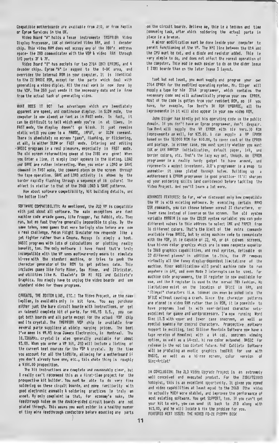Cospatible motherboarde are available from JtD, or from Haplin or Eprom Services in the UK.

Video Board 'A' holds a Texas Instrueents TNS9918A Video Display Processor, 1&K of dedicated Video RAM, and <sup>1</sup> decoder chip. This video RAM does not occupy any of the 180's address space- the 280 coeounicates with the VDP & video RAM through I/O ports 3F I 7F.

Video Board 'B\* has sockets for tuo 2764 IBK) EPROMS, and 4 decoder chipe. Eprom "A" is sapped to the 0-BK area, and overrides the internal RON in your cooputer. It is identical to the II BASIC RON, eicept for the parts which deal with generating a video diplay. All the real work ie now done by the VDP. The 280 just eende it the necessary data and ie free froo the actual task of generating video.

WHAT DOES IT DO? Two advantages which are lesedlately apparent are speed, and continuous display. In SION eode, the coeputer is non aloost as fast as in FAST eode. In fact, it can be difficult to tell which eode you're in at tiees. In FAST mode, the dieplay doesn't go blank. It just resulns static until you come to a PAUSE, IMPUT, or SLDN corrand. There is absolutely no screen "jusp", flashing, or flickering, at all, In either SION or FAST eode. Entering and editing -BASIC programs is a real pleasure, especially in FAST mode. The old ecreen reformatting games of the 7181 are gone! When you Enter a line, it sieply (zap) appears in the listing. LDAD and SAVE are rather Interesting. Nhen you enter a LOAD or SAVE command in FAST mode, the command stays on the screen through the tape operation. SAVE and LOAD activity is shoen by the border rapidly flashing through a seguence of 16 colors! The effect is eimilar to that of the 206B LDAD & SAVE patterne.

How about software compatibility, kit building details, and the bottoe line?

SOFTWARE COMPATIBILITY: As mentioned, the JLD VP is compatible with just about all softmare. The main exceptions are fast machine code arcade games, like Frogger, Pac Rabbit, etc. They run, but so fast they're generally leposeible to play. By the same token, some games that were boringly slow before are now a real challenge. Peion Filght Sieulator now responde like a jet fighter rather than a Cesena. Mazogs is eimply a hoot. BASIC programs with lots of calculations or plotting really benefit, too. The only softuare <sup>I</sup> have found that's truly incompatible with the VP uses moftware-only means to simulate hi-ree with the standard machine, or tries to peek the character generator of the RDM to get pattern data. This includes gates like Forty Niner, Sea Nines, and ZXtricator, and utilities like N. Eltaleh's SH HI RES and Callisto's Braphica. You simply have to unplug the video boards and use standard video for these programs.

CAVEATS, THE BOTTOM LIKE, ETC.: The Video Project, as the name implies, is availabls only in kit form. You may purchase either just the bare circult boarde with instructions, or get an laliost) cotplete kit of parts. For 448.93 U.S., you can get both boards and all parts eicept for the actual VDP chip and its crystal. The TMS9918A VDP chip is available frot several parts suppliers at uidely varying prices. The best I've meen is \$9.95 from Jameco Electronics, in Montreal. The 10.7386MHz. crystal is also generally available for about S3. 00. Nhen you order a VP kit, JLO till include <sup>a</sup> listing of the current best sources for the VDP & crystal. By the time you account for all the tidbite, allowing for a motherboard if you don't already have one, etc., this uhole thing is roughly a 4100.00 proposition.

The kit tnstructions are complete and reasonably clear, but I really can't recommend this as a first-time project for the prospective kit bullder. You eaet be able to do very fine soldering on these circult boarde, and eoee faeiliarlty with good electronic assembly & soldering practices le truly an asset. My only cooplaint is that, for economy's sake, the feedthrough holes on the double-sided circuit boards are not plated through. This means you must solder in a healthy nueber of tiny wire feedthrough conductors before mounting any parts

on the circuit boarde. Believe me, thie le a tedious and time consusing task, after which soldering the actual parts in place is a breeze.

A almor eodification must be done inside your coeputer to pereit functioning of the VP. The NMI line between the UtA and the CPU ouet be cut, and a diode and resistor added. This is very simple to do, and does not affect the normal operation of the coeputer. This sod is outh easier to do on the older lesue 1 2XB1 boarde than on the later Iseue 3 layout.

taet but not least, you ouet supply and prograe your own 2764 EPROM for the eodified operating eyetee. Mr. Ollger will eupply a tape for his 2764 prograeser, which contains the necessary code and uill automatically prograt your neu EPROM. Most of the code is gotten from your regident ROM, eo if you have, for example, Tom Bent's BK ROM UPGRADE, all the isprovemente in it will also appear in your new video ROM.

John Oliger has kindly put his operating code in the public domain. If you don't have an Eproe programmer, don't despair. Toe Bent till supply the VP EPROM uith his Vers. 10 ROM ieprovemente as well, for \$25.00. I can supply a VP EPROM based on the TSIOOO ROM for 410.00, to cover cost of the EPROM and poetage. In either case, you must specify whether you want I6K or 64K RANT0P initialization, default paper, ink, and border colors, etc. That's the lazy uay out, though. An EPROM programmer is a really handy gadget to have around, and represents a modest investeent. JLD's programmer is a snap to asseable- it uses plated through holes. Building up <sup>a</sup> motherboard & EPROM programmer is good practice- tt'il sharpen up your epidering skills (and confidence) before tackling the Video Project. And you'll learn a lot more.

ADVANCED FEATURES: So far, we've discussed only how compatible the VP is with exieting eoftware. By executing certain RAND USR commands, you can choose between noreal ZX charactere, or lower case instead of inverse on the screen. The old eystem variable MARGIN is nou the COLOR systea variable: you can poke different values to this address to select INK and PAPER frot 16 different colors. That's the limit of the extra commande available from BASIC, but by using machine code to communicate uith the VDP, it is capable of 32, 40, or 64 coluan screens, true hi-res color graphice which are in some respects superior to 2068 graphics capabilities, and real eprites, definable on 32 different pianes' in addition to this, the VP removes virtoally all the funny display-dependent limitatione of the eachine. Minor eadifications will peralt eachine code to run anyuhere in 64K, and even Mode 2 interrupts can be used. For machine code programmere, the IX register is now available for use, and the R register is used to the normal ZBO fashion. No ligitations exist on the location of DF1tE in RAM, and 'illegal\* characters (i.t. tokens) can even be poked into the DFILE uithout causing <sup>a</sup> crash. Since the character patterns are stored in video RAH rather than in ROM, it it possible to have programs load tn with user-defined character setsexcellent for gamee and wordproceesore. I'm now running Word Sine 11.3 uith upper and louer case onscreen, as uell as special symboie for control characters. Prospective eoftware support is exciting, too: Silicon Mountain Softuare nou have <sup>a</sup> tape verelon of Hemotext with a 64 col. onecreen viewing option, as uell as <sup>a</sup> 64-col. hi res color extended BASIC for release in the not too distant future. And Callisto Softuare till be producing an exotic graphics toolkit for use uith BASIC, as uell as a hi-res screen, color version of Sine-Artist'

IN CONCLUSION: The JLO Video Upgrade Project is an extreeely uell conceived and executed product. For the ZX81/TS1000 hobbyist, this is an excellent opportunity. It gives you speed and video capabilities at least equal to the 2068 (the video ie actually MUCH more stablei, and improvee the performance of tost existing softuare. You get SUPPORT, too. If you can't get your kit to uork, you can send it back to JLO along uith \$15.00, and he will locate k fix the problee for you. FEATURED NEXT ISSUE: THE AERCO FD-ZI FLOPPY DISK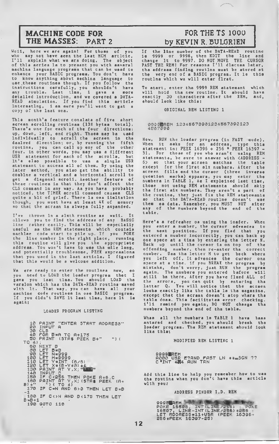### MACHINE CODE FOR **EXAMPLE TO A FOR THE TS 1000** THE MASSES: PART 2 by KEVIN R. BULGRIEN

Well, here we are agalnl For thoae of you who may not have aeen the laat MCM article, I'll explain what we are doing. The object of thla aeriea la to preaant you with aavaral machine language programa that can be uaed to enhance your BASIC programa. You don't have to know anything about machine language to uae .these routines though. If you follow the instructions carefully, you shouldn't have any trouble. Last time, <sup>I</sup> gave a mora detailed introduction, and we covered <sup>a</sup> DATA-READ simulation. If you find this article interesting, <sup>I</sup> am sure you'll want to get <sup>a</sup> copy of the last one.

This month's feature consists of five short<br>acrean acroiling routinas (138 bytas total). acrean acrolling routinas (138 bytas Thara's one for each of the four directions: up, down, left, and right. These may be used individually to scroll the screen in the desired direction; or, by running the fifth routine, you can call up any of the other four. In other words, you may use <sup>a</sup> different USR statement for each of the scrolls, but it's also possible to use a single USR statement to access all of them. By using the later method, you also get the ability to combine <sup>a</sup> vertical and <sup>a</sup> horizontal scroll to get a diagonal scroll. Another feature of these routines is that they don't affect the CLS command in any way. As you have probably noticed, the TIMEK acroil commend causes CLS quite a blt of grlef. There la oaa iimliation<br>though, you muet hava at leaat 4K of memory though, you must have at least 4K of memory so that the screen is always fully expanded.

I've thrown in a sixth routine as well. It allows you to find the address of any BASIC line rather easily. This will be especially useful as the REM statements which contain machine code start to pile up. If you POKE the line number in the right place, running this routine will give you the appropriate address. You won't have to use the mile long, and potentially troublesome, PEEK expressions that you used in the last articla, I figured that this would be a welcome addition.

Wa ere ready to enter the routines now, eo you need to LOAD the loader program that <sup>I</sup> gave you last time. You should LOAD the varalon which has the DATA-READ routine saved<br>with it. That way, you can have all your with it. That way, you can have all your machine code routines in one BASIC program. If you didn't SAVE it laat time, hare it is again:

#### LOADER PROGRAM LISTING

10 PAINT "ENTER STRRT ADDRESS"<br>
20 CLS<br>
30 CLS<br>
40 FOR B=A TO A+175<br>
50 PRINT (STA\$ PEEK B+"") (<br>
50 PRINT (STA\$ PEEK B+"") (<br>
50 NEXT B<br>
30 LET N=9999<br>
100 LET N=9999<br>
100 LET N=9999<br>
100 LET N=9999<br>
100 LET N=9999<br>
100 L 130 IF CON AND BO175 THEN LET B = B + 1<br>190 GOTO 110

If the line number of the DATA-READ routine is 9999 or 9998, then EDIT the line and change it to 9997. DO NOT MOVE THE CURSOR PAST THE REM1 For reasons I'll discuss later, the addreaa finding routine must be stored at the very end of <sup>a</sup> BASIC program. It is this routine which we will enter first.

To start, enter the 9999 REM statement which will hold the new routine. It should have exactly 30 characters after the REM, and, should look like this:

ORIGINAL REM LISTING <sup>1</sup>

9999<mark>0</mark>AEM 12345678901234567890123<br>4567890

Now, RUN the loader program (in FAST mode). When it asks for an address, type this statement in: PEEK 16396 + 256 \* PEEK 16397 - 31. For those of you who aren't using REM statements, be sure to answer with <ADDRESS - 6> ao that your acraen matchaa the tabie<br>except for the firet six numbara. After the screen fills and the cursor (three inverse question marks) appears, you may enter the numbers in TABLE 1. As <sup>I</sup> explained last time, those not using REM atatamants should skip<br>tha first six numbers. They aren't a part of<br>the routina, they just fix the REM statements<br>ao that the DATA-READ routine doesn't use<br>them es data. Ramember, you MUST NOT after any of the numbers beyond the end of the table.

Here's a refreaher oa using tha ioader. When you enter <sup>a</sup> number, the cursor advances to the next position. If you find that you entered a number Incorrectly, you can back up one space at a time by entering the letter N. Back up until the cursor is on top of the offending number, then re-enter the correct number. Use the letter M to get back where you left off. It advences the cureor ona<br>space at a time. if you BREAK the program by mistake, don't worry, juat RUN the program<br>again. The numbere you entered bafore will again. The numbers you entered before will still be there. After you have fixed ALL of the arrora, you cen quit by entaring tha<br>lattar Q. You will notice thet the acraen looks exactly like the table in the magazine, except thet the acraan doean't atop whara tha<br>tabla doaa. Thia facilitetes error checking.<br>1'li ramind you egain, DO NOT changa tha numbers beyond the end of the table.

Whaa all the numbara la TABLE 1 hava baaa<br>antared aad checked, you ahould breek the<br>loadar program. Tha REM atatamant ahouid iook lika this;

MODIFIED REM LISTING <sup>1</sup>

9999<mark>b</mark>rem<br>A000 USR E?AND fast LN \*\*\*SGN ??<br>C INT 4**7**4 AUN TRN

Add this line to help you remember how to uae the routine whan you don't have thia article with you:

ADDRESS FINDER I.D. REM

*Professional* **MARINE BERGES** 9998**BREM** 16507, LINÉ-INT (LINE/256) \*256<br>LET RODRESS \*11+USR (PEEK 16396+<br>256\*PEEK 16397-25)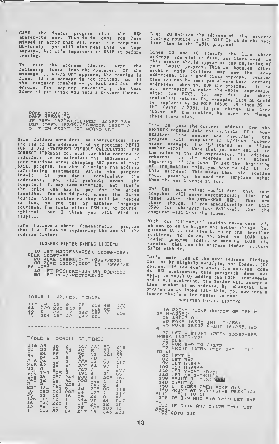SAVE the loader program with the REM<br>atatementa now. This iain case you have aiased an error that will crash the computer. Obvioualy, you will also nead this on tape<br>anywaya, but it's important to SAVE it before testing.

To teat the address finder, type the following lines into the computer. If the message "IT WORKS OK" appears, the routine is fine. If the message is not printed, or if<br>the computer crashes — go back and fix the<br>errors. You may try re-entering the teat<br>lines if you think you made a mistake there.

Here follows more detailed instructions for the use of the address finding routine: NEVER CORRECT ADDRESS! You must use this routins to<br>calculate or re-calculate the addresses of<br>your routines after changing ANY part of your calculating statements within the program itself. If you don't recalculate the addresses, you will probably crash the computer! It may seem annoying, but that's the price one has to pay for the added benefits. You should never eraae the lines holding this routine as they will be needed as Iong as you use my machine language<br>routines. The instructions REM is, of course,<br>options1, but I think you will find it<br>halpful.

Here follows <sup>a</sup> short demonstration program that <sup>I</sup> will use in explaining the use of the address finder:

ADDRESS FINDER SAMPLE LISTING

10 LET ADDRESS=PEEK 16396+256\* \*<br>PEEK 16397-25 20 POKE 16503,INT (9997/256)<br>30 POKE 16507,9997-INT (9997/2<br>561\*256 --------561 +256<br>40 LET RESTORE=11+USR RDDRESS<br>50 LET READ=REST0RE+32

| <b>TABLE</b>                                                 | 1                                                   |                         | ADDRE33                |                                           | FINDER                                                       |                |                                                                |
|--------------------------------------------------------------|-----------------------------------------------------|-------------------------|------------------------|-------------------------------------------|--------------------------------------------------------------|----------------|----------------------------------------------------------------|
| $118$<br>64<br>40<br>35                                      | 39<br>229<br>226                                    | 16<br>205<br>207<br>187 | ono<br><b>NNA</b><br>Б | រប្រមាណ<br>ស្រុក<br>ស្រុក                 | 212<br>209<br>1861<br>201                                    | 42<br>63<br>32 | $\frac{1}{2} \sum_{i=1}^{n} 3$                                 |
| <b>TABLE</b>                                                 | 2:                                                  |                         | SCROLL                 |                                           | ROUTINES                                                     |                |                                                                |
| 155322311123212114<br>18 3143714 355262<br>18 3143714 355262 | HANHHANGAHOANGRAGG<br>1440ANG NGC NA4440<br>4 Gu N+ | 16<br>ē4                |                        | 145324532444477<br>4351924532455244444777 | ig hj<br>31<br>542325222727426<br>54234444444444444444444457 |                | MAAMAHADHAMAHAMAHAM<br>1900-1900-1900 1<br>1900-1900-1900-1900 |

Line 20 defines the address of the address<br>finding routine IF AND ONLY IF it is the very<br>last line in the BASIC program!

Linea 30 and 40 apecify tha line whose<br>address you wish to find. Any lines used in<br>this manner should appear at the beginning of<br>rour bists your BASIC<br>machine code your BASIC program. This is because other<br>machine code routines may use the sase<br>addresses. Its a good place enyways, because<br>then you can be aure you slways have correct<br>addresses when you RUN the program. It is<br>not neces equivalent values. For example, line 30 could be replaced by 30 POKE 16508, 39 sincs 39 -<br>INT (9997 / 256). If you change the line<br>number of the routine, ba aure to change<br>these lines also. these lines al

50 puts the correct address Line for the existent line number was specified, the<br>program will stop with an L/<lina number> error message. The 'L' stands for a 'Line number error'. Note that you must add 11 to the value of the value of the address returned is the address of the actual baginning of the Iine. To get the beginning<br>of the machine code, you have to add 11 to<br>this address! This means that the routine chim address: Inis maana that the routine<br>could poaeibly be usad for purpoass other<br>than the ona I wrote it for.

your the are LIST then the Oh! One mora thing: you'll find that<br>computar will never automatically liat<br>linae after the DATA-READ REM. Thay<br>thega after the DATA-READ REM. thera though, If you apacifically any<br>9998 (or whataver line follows), then<br>computer will list tha lines.

our 'librarian' routine taken cara of,<br>,80 on to bigger and better thinga. You we can go on to bigger and better things. You<br>guessed it... its time to enter tha scroller<br>routises routinea. To do ao, you need to LOAD tha<br>loader program again. Be aura to LOAD tha<br>varaion the biga that has the addrasa finder routine SAVEd with it.

Lat's make use of the new address finding.<br>routing be alighted routina by alightly modifying the loader. (Of couras, if you don't stora the mechina code<br>in REM atatements, this paragraph does not<br>annly to row les apply to you.) 8y adding two POKE atatements<br>and a USR atatement, the loadar will accept a<br>line musher as an address. By changing the<br>nrosrem as a sulled a. By changing the program so it looks like this, you now have a<br>loader that's a lot easier to use:

### HOD <sup>I</sup> FT F.D I.OADF.R I.TSTTNG

| 10 PRINT "LINE NUMBER OF REM F<br>OP M-CODE?"<br>15 INPUT A<br>20 POKE 16508, INT (A/256)<br>25 POKE 16507, A-INT (A/256) *25<br>6                  |
|-----------------------------------------------------------------------------------------------------------------------------------------------------|
| 30 LET A=5+USR (PEEK 16396+256<br>*PEEK 16397-25)<br>35 CLS<br>40 FOR 6=A TO A+175<br>50 PRINT (STR\$ PEEK 8+"<br>$n_{1}$<br>TO 4)                  |
| 60 NEXT 8<br>80 LET 8=0<br>90 LET N=999<br>100 LET M*9999<br>110 LET Y=INT (8/8)<br>120 LET X=(B-Y+3) +4<br>130 PRINT AT Y, X; "FEE"<br>140 INPUT C |
| 150 IF CK256 THEN POKE 8+8,0<br>160 PRINT AT Y,X; (STR\$ PEEK (A+<br>$B1 + "$<br>") ( TO 4)<br>170 -<br>IF C=N AND B>0 THEN LET B=8<br>$-1$         |
| 180 IF COON AND BO175 THEN LET<br>$B = B + 1$<br>190 GOTO 110                                                                                       |

POKE 16507,15 POKE 16508,39 IF PEEK 16396 +256 \*PEEK 16397-36= USR (PEEK 16396 +256 +PEEK 16397-2 <sup>51</sup> THEN PRINT "IT UORKS OK"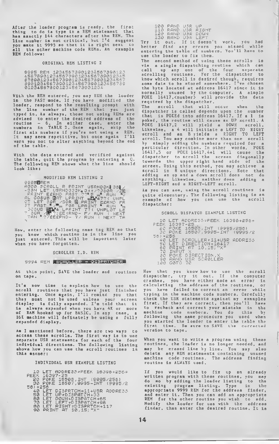After the loader program is ready, the first thing to do is type in <sup>a</sup> REM statement that has exactly 144 characters after the REM. The line number is not critical, but I'd suggest you make it 9995 so that It Is right next to all the other machine code REMs. An example REM follows:

#### ORIGINAL REM LISTING <sup>2</sup>

9995 REM 12345673901234567390123<br>45678901234567390123456739012345<br>6789012345673901234567390123455<br>89012345673901234567390123456739<br>0123456739012345673901234

With the REM entered, you may RUH the loader<br>in the FAST mode. If you have modified the the FAST mode. If you have modified loader, respond to the resulting prompt with the line numbar of the REM that you juat<br>typed in. As alwaya, those not using REMs are<br>adviaed to enter the desired address of the<br>routine - 6. In either case, enter the<br>numbera in TABLE 2. Once again, skip the first six numbers if you're not using a REM. It may seem repetitive, but once again I'll warn you not to alter anything beyond the end of the table.

With the data entered and verified against the table, quit the program by entering a Q. The following REM shows what the line should look like:

MODIFIED REM LISTING 2 9995BREM R000 SCROLL R PRINT U5RND3KI 351 -3SN LET U5RND333K\* 3\*\*/?35QR /ZH PRINT E£RND FAST ??• <sup>5</sup> \*\*• RUN AL G03UB HAT LPRINT «.&»477 ( UNPL OT LET SOR\_/SQP g PRINT E£RND FA ST FAST /% FOR LPRINT RUN 30SUB SV4 LPRINT <sup>77</sup> ( UNPLOT LE T SOR /|F^,££(RND- F/ RUN ( NEXT TAN \*?/£E£RND- 7/ RUN ( NEXT TA

Now, enter the following name tag REM so that you know which routine is in the line you Just entered. This will be important later when you have forgotten.

SCROLLER I.D. REM

#### 9994 REM SCROLLER - DISPRICHER

At this point, SAVE the loader and routines on tape.

It's now time to explain how to use the scroll routines that you have Just finished entering. Once again, I'll remind you that they must not be used unless your screen display is fully expanded. I'm told that it ia alwaya expanded when you hava 4K or more of RAM hooked up for BASIC. In any case, a 16K machine will definately be using a fully expanded display.

As <sup>I</sup> mentioned before, there are two ways to access these scrolls. The first way is to use separate USR statements for each of the four individual directions. The following listing ahows how you can use the scroll routines in this manner:

INDIVIDUAL USR EXAMPLE LISTING

| 10 LET APDRESS *PEEK 16396+256*/ |  |
|----------------------------------|--|
| PEEK 16397-25.                   |  |

- PEEK 16397-25 20 POKE 18503, INT (9995/256) 30 POKE 16507, 9995-INT (9995/2
- 56) \*256 40 LET DISPRTCH=11+USR ADDRESS<br>50 LET UP=DISPATCH+33<br>60 LET DOUN=DISPATCH+65<br>70 LET LEFT=DISPATCH+56<br>70 LET LEFT=DISPATCH+117<br>80 PRINT AT 10,15;"X"
	-

| 100.   | <b>EAND</b>       | USR UP  |              |
|--------|-------------------|---------|--------------|
| 110    | <b>RAND</b>       | USR.    | RIGHT        |
| 120    | <b>RAND</b>       | U.BR    | DONN         |
| 1.0213 | <b>CONTRACTOR</b> | 1.12.25 | . <i>. .</i> |

130 RANG USR LEFT Try it out. If it doesn't work, you had better find any errors you missed while entering the table of numbers. You'll have to use the loader to fix them.

The second method of using these scrolls is via a single dispatching routine which can call up any one of the four separate scrolling routines. For the dispatcher to know which scroll is desired though, requires some data to be stored somewhere. I've chosen the byte located at address 16417 since it is normally unused by the computer. A simple POKE 16417, <number> will provide the data required by the dispatcher.

The scroll that will occur when the dispatcher is called depends upon the number that is POKEd into address 16417. If a <sup>1</sup> is poked, the routine will cause an UP scroll. A POKE 16417,2 will yield a DOWN scroll. Likewise, a 4 will initiate a LEFT TO RIGHT scroll and an 8 yields <sup>a</sup> RIGHT TO LEFT scroll. You may combine more than one scroll by simply adding the numbers required for a particular direction. In other words, POKE 16417,5 or POKE 16417,4+1 will cause the<br>dispatcher to scroll the screen diagonally towards the upper right hand side of the screen. Using this method, you may achieve a scroll in 8 unique directions. Note that adding an up and a down scroll does not do anything. Likewise, neither does adding <sup>a</sup> LEFT-RIGHT and <sup>a</sup> RIGHT-LEFT scroll.

As you can aee, uaing the scroll routines is quite elementary. The following listing is an example of how you can use the scroll dispatcher

SCROLL DISPATCH EXAMPLE LISTING

10 LET ADDRESS =PEEK 16396+256\* PEEK 16397-25 . <sup>20</sup> POKE 16503, INT (9995/256) 30 POKE 16507 , 9995-INT (9995/2 56<br>30 PO<br>56) +256<br>40 LE 40 LET SCROLLER=11+USR ADDRESS<br>50 LE<u>T DIRECTION=</u>18417 60 PRINT AT 10,15; •×\*<br>70 INPUT X<br>30 POKE DIRECTION,X<br>90 RAND USR SCROLLER<br>100 GOTO 70

Now that you know how to use the scroll dispatcher, try it out. If the computer crashea, you have either made an error in<br>calculating the addreas of the routines, or you have failed to correct an error while typing in the machine code numbers. Carefully check the USR statements against my examples first. If they are correct, then you'll have to recheck and correct your mistake in the<br>mschine code numbers. You do this by machine code numbers. You do this by following the same procedure you used when you started the loader to enter the table the first time. Be sure to SAVE the corrected .<br>firat time. De sure to SAVE the corrected<br>version to tape.

When you want to write <sup>a</sup> program using these routines, the loader is no longer needed, and may be erased line by line. You may also delete any REM statements containing unused machine code routines. The address finding routine is ALWAYS used.

If you would like to fix up an already written program with these routines, you may do so by adding the loader listing to the do so by sdding the loader listing to the<br>existing program listing. Type in the<br>appropriats 9999 REM for the addreaa finder, appropriate 9999 REM for the address finder, and enter it. Then you can add an appropriate REM for the other routine you wish to add. Modify the loader for use with the address finder, then enter the desired routine. It is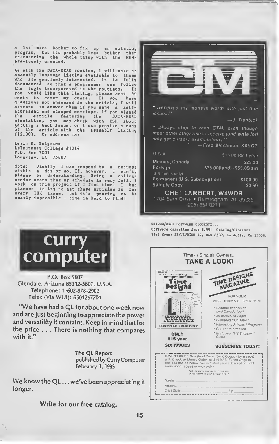a lot more bother to fix up an existing program, but its probably less bother than re-entering the whole thing with the REMs previously created.

As with the DATA-READ routine, <sup>I</sup> will make an assembly language listing available to those who are genuinely interested. It is fully documented so that a programmer can follow<br>the logic incorporated in the routines. If the logic Incorporated in the routing, please send 50 cents to cover my cover my cover my cover my cover my control of the cover my cover my cover my cover my cover my cover my cover my cover my cover my cover my cover my centa to cover my coata. If you have<br>questions not answered in the article, I will attempt to answer them if you send a self-addressed and stamped envelope. If you missed the article featuring the DATA-READ simulation, you may check with TSH about getting a back issue, or <sup>I</sup> can provide <sup>a</sup> copy of the article with the assembly listing (\$2.00). My address is:

Kevin R. Bulgrien LeTourneau College #1014 P.0. Box 7001 Longview, TX 75607

"\

Note: Usually <sup>I</sup> can respond to <sup>a</sup> request within <sup>a</sup> day or so. If, however, <sup>I</sup> can't, please be Understanding. Being <sup>a</sup> college senior means that my schedule is very full. I<br>work on this project if I find time. I had<br>planned to try to get these articles in for planned to try to get these articles in for<br>every TSH issue, but it's proving to be<br>nearly impossible - time is hard to find!



...received my moneys worth with just one issue .

—J. Trenbick

always stop to read CTM. even though most other magazines <sup>t</sup> receive land write lor) only get cursory examination...

— Fred Blechman. K6UGT

| USA                                                | \$15.00 for 1 year                   |
|----------------------------------------------------|--------------------------------------|
| Mexico, Canada                                     | S25.00                               |
| Foreran                                            | \$35.00(land) - \$55.00(air)         |
| (U.S. funds only)<br>Permanent (U.S. Subscription) | \$100.00                             |
| Sample Copy                                        | \$3.50                               |
|                                                    | CHET LAMBERT, W4WDR                  |
|                                                    | 1704 Sam Drive . Birmingham AL 35235 |

1205) 854 0271

T31000/ZX81 SOFTWARE CLOSEOUT... Software cassettes from \*.99! Catalog/Cloeeout list from: SIMULUSION-H2, Box 2382, La Jolle, CA 92038.

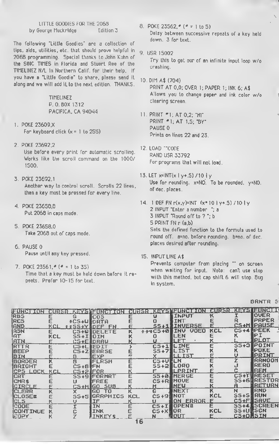LITTLE GOODIES FOR THE 2068 by George Muckridge Edition 3

The following 'Little Goodies" are a collection of tips. aids, utilities, etc. that should prove helpful in 2068 programming. Special thanks to John Kuhn of the SINC TIMES in Florida and Stuart Ree of the TIMEL1NEZ N/L in Northern Calif, for their help. If you have a "Little Goodie" to share, please send it along and we will add it to the next edition. THANKS.

> TIMELINEZ P.O.BOX 1312 PACIFICA. CA 94044

- <sup>1</sup> . POKE 23609.X For keyboard click  $(x = 1$  to 255)
- 2. POKE 23692.2 Use before every print for automatic scrolling. Works like the scroll command on the 1000/ 1500.
- 3. POKE 23692.1 Another way to control scroll. Scrolls 22 lines, then a key must be pressed for every line.
- 4. POKE 23658.8 Put 2068 in caps mode.
- 5. POKE 23658.0 Take 2068 out of caps mode.
- 6. PAUSE 0 Pause until any key pressed.
- 7. POKE  $23561.$   $($   $=$  1 to 35) Time that a key must be held down before it repeats. Prefer 10-15 for text.
- 8. POKE 23562,  $(4 1)$  to 5) Delay between successive repeats of <sup>a</sup> key held down. 3 for text.
- 9. USR 15002 Try this to get our of an infinite input loop w/o crashing.
- 10. DIM A\$ (704) PRINT AT 0.0; OVER 1; PAPER 1; INK 6; A\$ Allows you to change paper and ink color w/o clearing screen.
- 11. PRINT \*1; AT 0.2; "HI-PRINT \*1; AT 1.5; "BY" PAUSE 0 Prints on lines 22 and 23.
- 12. LOAD ""CODE RAND USR 33792 For programs that will not load.
- 13. LET  $x=INT(x + 0.5) / 10$  Jy Use for rounding. x=N0. To be rounded. y=NO. of dec. places.
- 14. 1 DEF FN r(x,y)=INT (x\* 10 l y+.5) / 10 l y 2 INPUT "Enter a number ": a 3 INPUT "Round off to ? "; b 5 PRINT FN r (a.b) Sets the defined function to the formula used to round off. a=no. before rounding. b=no. of dec. places desired after rounding.

15. INPUT LINE A\$ Prevents computer from placing " on screen

when waiting for input. Note: can't use stop with this method, but cap shirt 6 will stop. Bug in system.

**BRNTR S** 

| FUNCTION      | <b>CURSR</b> |                   | Kazitzunadok               |            |                | dirar <b>ı (</b> 441) ilinde (d.) |            |                 | durs:Ways Isurdi   |
|---------------|--------------|-------------------|----------------------------|------------|----------------|-----------------------------------|------------|-----------------|--------------------|
| <b>RBS</b>    |              | G                 | <b>COS</b>                 |            |                | <b>IINPUT</b>                     |            |                 | <b>OVER</b>        |
| <b>RCS</b>    |              | $\pm$ CS $\pm$ Ul | <b>DRTA</b>                |            |                | <b>TNT</b>                        |            |                 | PRPER              |
| <b>RND</b>    | KCI          |                   | <b><i>ISSIYADEF FN</i></b> |            | 55+11          | <b>LINVERSE</b>                   |            |                 | CS+MTPAUSE         |
| <b>ASN</b>    | E            |                   | CS+0 DELETE                | ĸ          | $334C5 + 0$    | <b>VOED</b><br><b>TNU</b>         | <b>KCL</b> |                 | CS+4 RPEEK         |
| RT            | KCL          | S5+INOIM          |                            |            |                | LEN                               |            |                 | IΡI                |
| <b>ATN</b>    | F            |                   | <b>CS+EIDRAU</b>           |            |                | LET                               |            |                 | PLOT               |
| RTTR          | E            | CS+LIEDIT         |                            |            | $C5+1$         | <b>IL TNE</b>                     |            | $S5+3$          | <b>POINT</b>       |
| <b>BEEP</b>   |              |                   | CS+ZIERRSE                 |            | $55+7$         | ILIST                             |            |                 | <b>POKE</b>        |
| BIN           |              | R                 | EXP                        | E          |                | ILL IST                           |            |                 | PRINT              |
| BORDER        | κ            | B                 | <b>FLRSH</b>               | Е          | <b>CS+ULLN</b> |                                   | Е          |                 | RRNOOM             |
| <b>BRIGHT</b> | Е            | CS+B⊪FN           |                            |            | $S5+2$         | <b>ILORO</b>                      |            |                 | RERO               |
| ICPS LOCK     | KCL          | CS+2 FOR          |                            |            |                | <b>ILPRINT</b>                    |            |                 | <b>REM</b>         |
| <b>ICRT</b>   | Е            |                   | SS+91FORMRT                | E          | $55 + 01$      | <b>INERGE</b>                     |            |                 | <b>CS+THRESET</b>  |
| CMR \$        |              |                   | FREE                       |            | CS+RI          | <b>IMOUE</b>                      |            |                 | <b>SS+6WRESTOR</b> |
| ICIRCLE       |              |                   | CS+HIGO SUB                |            |                | NEU                               |            | я               | <b>RETURN</b>      |
| <b>CLERR</b>  | κ            |                   | GO.<br>TO                  | κ          | G              | INEXT                             | κ          | N               | <b>RND</b>         |
| <b>CLOSE#</b> |              | 55+5              | <b>GRRPHICS</b>            | <b>KCL</b> | CS +9          | INOT                              | KCL        | $S5+S$          | <b>RUN</b>         |
| ICLS.         |              |                   | <b>TF</b>                  |            |                | ON ERROR                          | F          |                 | C5+FISAVE          |
| !COOE         | E            |                   | ΙN                         |            | $C5+I$         | <b>IOPEN#</b>                     | Е          |                 | SS+4 SCREEN        |
| ICONTINUE     |              |                   | <b>INK</b>                 |            | $CS+X$         | IOR                               | KCL        | SS+URSGN        |                    |
| ICOPY.        | к            |                   | <b>INKEYS</b>              |            |                | ¶ DUT                             |            | <b>CS+OMSIN</b> |                    |
|               |              |                   |                            | -6         |                |                                   |            |                 |                    |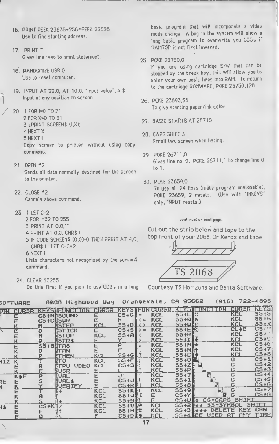- 16. PRINT PEEK 23635+256" PEEK 23636 Use to find starting address.
- 17. PRINT<sup>-</sup> Gives line feed to print statement.
- 18. RANDOMIZE USR 0 Use to reset computer.
- 19. INPUT AT 22.0; AT 10,0; "input value"; <sup>a</sup> \* Input at any position on screen.
- 20. IFOR. 1=0 TO 21 2 FOR X=0 TO 31 3 LPRINT SCREEN\* (I.X); 4 NEXT X 5 NEXT <sup>I</sup> Copy screen to printer without using copy command.
- 21. OPEN \*2 Sends all data normally destined for the screen to the printer
- 22. CLOSE #2 Cancels above command.
- 23. <sup>1</sup> LET C=2 2 FOR 1=32 TO 255
	- 3 PRINT AT 0.0."
	- 4 PRINT AT 0.0; CHR\* <sup>I</sup>
	- 5 IF CODE SCREEN\* (0.0>-0 THEN PRINT AT 4.C; CHR\* I: LET C=C+2 6 NEXT <sup>I</sup>

Lists characters not recognized by the screen\* command.

24. CLEAR 63255

Do this first if you plan to use UDG's in a long

basic program that will incorporate a video mode change. A bug in the system will allow <sup>a</sup> long basic program to overwrite you UDG's if RAMTOP is not first lowered.

25. POKE 23750.0

If you are using cartridge S/W that can be stopped by the break key. this will allow you to enter your own basic lines into RAM. To return to the cartridge ROMWARE, POKE 23750.128.

- 26. POKE 23693.56 To give starting paper/ink color.
- 27. BASIC STARTS AT 26710
- 20. CAPS SHIFT 3 Scroll two screen when listing
- 29 POKE 26711.0 Gives line no. 0. POKE 2671 1.1 to change line 0 to 1.
- 30. POKE 23659,0 To use all 24 lines (make program unstopable). POKE 23659. 2 resets. (Use with 'INKEYS' only. INPUT resets.)

### continued on next page...

Cut out the strip below and tape to the top front of your 2068 Or Xerox and tape



Courtesy TS Horizons arid Banta Software.

| SOFTUARE | 8088 Highwood Way Orangevale, CA 95662                                  |  | $(916)$ 722-4895 |  |
|----------|-------------------------------------------------------------------------|--|------------------|--|
|          | OR GURSR KEYS FUNG DOR CURSR KEYS FUNDRIRER KEYS TEUR ALAN BERGE KEYS S |  |                  |  |

| ØН         | [HU:F1:) |                 | Keysueuncidion      | CURSR      |                |   | KEYƏNEUN CURƏN |               | <u>KETƏNEUNU</u> I<br>.un | шикек      | المستقطة           |
|------------|----------|-----------------|---------------------|------------|----------------|---|----------------|---------------|---------------------------|------------|--------------------|
|            | Ε        |                 | CS+NISOUND          | E          | $CS+GE=$       |   | <b>KCL</b>     | $55+L$        | l%                        | <b>KCL</b> | $55+5$             |
|            |          | C5+CH50R        |                     |            | н              | ÷ | <b>KCL</b>     | $55+0$        |                           | <b>KCL</b> | $55+6$             |
|            |          |                 | <b>NSTEP</b>        | KCL        | $55+$ $R$      |   | KCL            | <b>SS+ULE</b> |                           | KCL        | 55. <del>1</del> X |
|            | Ē        | $\Omega$        | <b>MSTICK</b>       | Е          | $CS+5$ >=      |   | <b>KCL</b>     | <b>SS+EM</b>  |                           | $CL + E$   | CS <sub>1</sub>    |
|            |          |                 | <b>istop</b>        | <b>KCL</b> | $55 + 9$       |   | <b>KCL</b>     | $55+R$        |                           | <b>KCL</b> | $55 + 7$           |
|            |          |                 | <b>MSTR\$</b>       |            |                |   | <b>KCL</b>     | <b>SSITIL</b> |                           | KCL        | $C5 + U$           |
|            | Ë        | <b>S5+8HTA8</b> |                     | Е          | P              |   | <b>KCL</b>     | $55+MP+$      |                           | <b>KCL</b> | $C5+6$             |
|            |          |                 | <b>STAN</b>         |            |                |   | <b>KCL</b>     | <b>SS+NH+</b> |                           | <b>KCL</b> | $CS+7$             |
|            |          | D               | <b>ETHEN</b>        | KCL        | 55+GJ          |   | <b>KCL</b>     | $55 + C$      |                           | KCI        | $C5+8$             |
| <b>FIZ</b> | κ        |                 | ĿТO                 | <b>KCL</b> | $55 + F$       |   | <b>KCL</b>     | $55+0$        |                           | G          | $C5+1$             |
|            |          | я               | MTPU<br><b>UDEO</b> | <b>KCL</b> | $C5+3$         |   | <b>KCL</b>     | $55+Z$        |                           | G          | $C5+2$             |
|            |          |                 | <b>FUSR</b>         |            |                |   | KCL            | $55 + P$      |                           | G          | $C5+3$             |
|            | K+E      | P               | <b>IVAL</b>         | Ε          | J.             |   | <b>KCL</b>     | $55+7$        |                           | G          | $C5+4$             |
| RE         | Е        | 5               | <b>NUAL \$</b>      |            | $C5+J$         |   | KCL            | $55+1$        |                           | G          | $CS + 5$           |
|            |          |                 | WERIEY              |            | $C5 + R$       |   | KCL            | $55 + 8$      |                           |            | $C5+6$             |
|            | Ε        |                 |                     | <b>KCL</b> | $55+K$         |   | <b>KCL</b>     | $55+9$        |                           | G          | $C5+7$             |
|            |          |                 |                     | <b>KCL</b> | $55 + J$       |   | Е              | $C5+Y$        |                           |            | $C5+8$             |
|            |          |                 |                     | KCL        | 55+BL          |   | E              | CS+Ul         | $CS = CAPS$               | SHIFI      |                    |
| 电卡         | Ë        | $CS+K$          |                     | <b>KCL</b> | $55+0$ e       |   | KCL            | 55+21         | $S5 = SYHBO$<br>【子子】      |            | <b>SHIFT</b>       |
|            |          |                 |                     | <b>KCL</b> | 55+H #         |   | <b>KCL</b>     | $55 + 3$      | <b>ETE</b><br>DEL         | KEY        | <b>CAN</b>         |
|            |          |                 |                     |            | <b>C5+D 11</b> |   | KCI            | SS + 4 J      | <b>USED</b><br>IBE        | <b>ANY</b> | TIME               |
|            |          |                 |                     |            |                |   |                |               |                           |            |                    |
|            |          |                 |                     |            |                |   |                |               |                           |            |                    |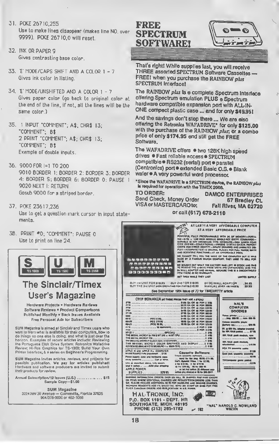- 31. POKE 26710.255 Use to make lines disappear (makes line NO 9999). POKE 26710.0 will reset.
- 32. INK OR PAPER 9 Gives contrasting base color.
- 33. E' MODE/CAPS SHIFT AND A COLOR 1 7 Gives ink color in listing.
- 34. E' MODE/UNSHIFTED AND A COLOR 1 7 Gives paper color (go back to original color at the end or the line, if not. all the lines will be the same color.)
- 35. <sup>1</sup> INPUT -COMMENT'; A\*; CHR\$ 13; "COMMENT'; B\$ 2 PRINT 'COMMENT'; A\$; CHR\$ 13; -COMMENT'; B\$ Example of double inputs.
- 36. 9000 FOR 1=1 TO 200 9010 BORDER 1: BORDER 2: BORDER 3: BORDER 4: BORDER 5: BORDER 6: BORDER 0: PAUSE <sup>1</sup> 9020 NEXT I: RETURN Gosub 9000 for <sup>a</sup> striped border
- 37. POKE 23617,236 Use to get <sup>a</sup> question mark cursor in input statemenls.
- 3B. PRINT \*0; "COMMENT": PAUSE 0 Use to print on line 24.



### The Sinclair/Timex User's Magazine

Hardware Projects • Hardware Raviaws Soltwsre Reviews • Product Comparisons Published Monthly • Back Issues Available Frea Personal Ads for Subscribers

SUM Msgszlna Is aimed at Sinclair and Timex users who want to learn what is available tor their computers, how to do things no one else is doing, and what is just over the horizon. Examples ot recent articles include: Reviewing the Portuguese Disk Orive System: Rotronics Watadrive Review: Hi-Res Graphics tor TS-1000; Build Your Own Printer Interlace: & a series on Beginner's Programming.

SUM Magazine invites articles, reviews, and projects lor possible publication. Wa pay lor articles published) Hardware and soltwsre producers are invited lo submit their products tor review.

Annual Subscription/12 issues (U.S.) ............... \$15 Sample Copy-\$1.00

SUM Magazine <sup>3224</sup> NW <sup>30</sup> Avenue - Gainesville. Florida <sup>32605</sup> 904/376-9000 or 462-1086

### **BRADIN SPECTRUM SOFTWARE!**



That's rightl While supplies last, you will receive THREE assorted SPECTRUM Software Cassettes — FREE! when you purchase the RAINBOW plus SPECTRUM Interface!

The RAINBOW plus is a complete Spectrum Interface offering Spectrum emulation PLUS e Spectrum<br>hardware compatible expansion port with ALL-IN-ONE compect plastic case ... and for only \$49.95!

And the savings don't stop there ... We are also offering the Rotronics WAFADRIVE® for only \$125.00 with the purchase of the RAINBOW plus; or a combo price of only \$174.95 and still get the FREE Software.

The WAFADRIVE offers · two 128K high speed drives · Fast reliable access · SPECTRUM compatible · RS232 (serial) port · parallel (Centronics) port · extended Basic O.S. · Blank wafer  $\bullet$  A very powerful word processor.

\* Since the WAFADRIVE is a SPECTRUM device, the RAINBOW plus Is required for operation with the TIMEX 2068.<br>TO ORDER: DAMCC

Send Check, Money Order 67 Bradley Ct.<br>VISA or MASTERCARO to: Fall River, MA 02720 VISA or MASTERCARO to:

DAMCO ENTERPRISES<br>67 Bradley Ct. or call (617)678-2110

L

HOW AT LASTIN A VERY AFFORDABLE COMPUTER AT A VESY AFFORDABLE PRICE ACCURATE TO SIX OF OUR AMOUNT OF SIX OUR AMOUNT CONSIDERED AND A THREE CONSIDERS IN A DAMAGE OF CHANNEL AND CONSIDER AND CONSIDER AND CONSIDER AND CONSIDER AND CONSIDER AND CONSIDER AND CONSIDER AND CONSIDER AND CONSIDER we cannot tell tou the make of the computer but it was<br>Made by a famous wapon company, they used to bell for  $\bullet$  and  $\bullet$  or  $\bullet$  or  $\bullet$   $\bullet$   $\bullet$ ranconena. HE BOUGHT OUT WHAT THE EACTOMY MAD LEFT WI STOCK AMO RAB<br>TO NEWOVE THE LABETS, THEW UNITS ARE UNPACKAOED, LEBS THE<br>BY WALL ADAPTER AMO WANAANTY,<br>ITEM THERE AS HO WANAANTY, **tra accounts**<br>Booggaage LIMITED BUFFLY aut isi unit FOR s19.95 — auf 2nd FOR 919.95<br>BUY THE 3rd UNIT eron operating for farts \$10.99 **IV OC WALL AOAPTON<br>MANUAL IOVEN 198 PAGES** S2.M See September 1964 lasue of 73 for TIMEX/RTTY article CHIP BONANZA pd mess media their rat A errors I THEY AME A GYEAU<br>BYBB IEA OM IS POM t MSS rmma NAL'S<br>COMPUTER ps ia om is pom tasse<br>• KJA om insb ia on « pom maos<br>• KJA en « pom maos<br>• KJA en « pom insb m<br>• KJA en « pom insb m<br>• KJA en « pom insb m<br>• KJA • MBS II» → FOM HIS<br>• KJA • MBS III» → FOM HIS<br>• FOM HIS POM MBS III» → FOM GOODIES Telepa (kristan . . . . . . . . . . . . . . . .<br>. . . (1919). 000 VII. . . . rapin. 000 VII. nou 1199, ...<br>Inco 11996 .  $\begin{array}{l} 0.0461 & \dots & \dots & \dots \\ 0.041 & \dots & \dots & \dots & \dots \\ 0.06 & \dots & \dots & \dots & \dots \\ 0.06 & \dots & \dots & \dots & \dots \end{array}$ provincy applications and the Williams<br>TV, gr 000 Mis. Adapter (comba)<br>The NIK Williams and the U.S. UT Williams<br>His Nikola and the Soldier and XMCMCMOPSlPWBSrTM . M BT CPU 31NIMCAOPP\* 4ANIMCMOPCLOCK OIM ANOOMFVfM <sup>B</sup> IS NR RAM park module, npa<br>1919 - Louis Court Louis (1990)  $\begin{minipage}{.4\linewidth} \begin{tabular}{l} \hline \textbf{11} & \textbf{22} & \textbf{33} & \textbf{34} & \textbf{35} \\ \textbf{23} & \textbf{34} & \textbf{34} & \textbf{34} & \textbf{34} & \textbf{34} \\ \textbf{35} & \textbf{36} & \textbf{36} & \textbf{36} & \textbf{36} & \textbf{36} \\ \textbf{36} & \textbf{36} & \textbf{36} & \textbf{36} & \textbf{36} & \textbf{36} \\ \textbf{37} & \textbf{3$ <sup>I</sup> BBlBANL MtCPOP COIOM OMAPHICS AMO OlSPVAT <sup>B</sup> BBS oaMSKOHMASAi\* »op\*Ti\*q <sup>s</sup> • **Cassette Settware:**  $\begin{array}{l} \text{Lattice B121} \\ \text{Lattice B121} \\ \text{Lattice B121} \\ \text{Lattice B121} \\ \text{Lattice B121} \\ \text{Lattice B121} \\ \text{Lattice B121} \\ \text{Lattice B121} \\ \text{Lattice B121} \\ \text{Lattice B121} \\ \text{Lattice B121} \\ \text{Lattice B121} \\ \text{Lattice B121} \\ \text{Lattice B121} \\ \text{Lattice B121} \\ \text{Lattice B121} \\ \text{Lattice B121} \\ \text{Lattice B121} \\ \text{Lattice B121} \\ \text{L$ TVOorepuige game paskaj<br>1999 - Paris III III III III III III ishme, hify seem.<br>....K201 phis shipping **APPLE POWER** SUPPLIES .. 329.95 Inversion Information: 000278 OVER 525 WILL 98 SHIPPED PORTPAUD INCEPTION CREW TRIAL DECEPTION CONTINUES AND INTERFERING AND INFARM CHARGE LESS THAT A CONTINUES AND INFARM CHARGE IN THE TRIAL OF THE TRIAL OF THE TRIAL OF T HAL-TRONIX, INC. J., DEED P.O. BOX 1101 - DEPT. HR SOUTHGATE. MICH. 48195 • HAROLD C. HOWLAND WIZXH PHONE (313) 285-1782 / 182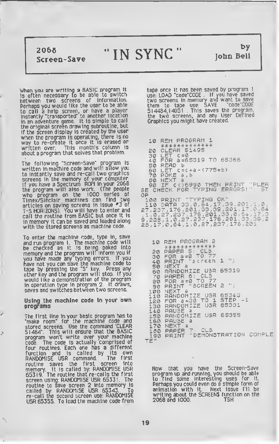2068

# $\frac{2068}{\text{Screen-Save}}$  "IN SYNC"

by John Bell -33

 $\overline{\phantom{a}}$ 

When you are writing <sup>a</sup> BASIC program it is often necessary to be able to switch between two screens of information. Perhaps you would like the user to be able to call a help screen, or have a player instantly "transported" to another location in an adventure game. It is simple to call the original screen drawing subroutine, but if the screen display is created by the user when the program is operating, there is no way to re-create it once it is erased or written over. This month's column is about a program that solves that problem.

The following "Screen-Save" program is written in machine code and will aflow you to instantly save and re-call two graphics screens in the memory of your computer. If you have <sup>a</sup> Spectrum ROM in your 2068 the program will also work. (The people who program on the 1000 series of Timex/Sinclair machines can find two articles on saving screens in issue #3 of T-S HORIZONS). YOU will have to enter and call the routine from BASIC but once it is in memory it can be saved and loaded along with the stored screens as machine code.

To enter the machine rode, type In, save and run program 1. The machine code will be checked as It Is being poked into memory and the program will Inform you if you have made any typing errors. If you nave not you can save the machine code to tape by pressing the "S" key. Press any other key and the program will stop. If you would like a demonstration of the program in operation type in program 2. It draws, saves and switches between two screens.

Using the machine code in your own programs

The first line in your basic program has to "make room" for the machine code and stored screens. Use the command 'CLEAR 51484". This will ensure that the BASIC program won't write over your machine code. The code Is actually comprised of four routines. Each one has a different function and is called by its own RANDOMISE USR command. The first routine saves the first screen into memory. It is called by: RANDOMISE USR 65319. The routine that re-calls the first screen using: RANDOMISE USR 65331. The routine to save screen 2 into memory is called by: RANDOMISE USR 65343. To re-call tne second screen use: RANDOMISE USR 65355. To load the machine code from

tape once It has been saved by program <sup>I</sup> use: LOAD "code'CODE . If you have saved two screens in memory and want to save them to tape use: SAVE "code'CODE 514484,14051 . This saves the program, the two screens, and any User Defined Graphics you might have created.

"

b

10 REM PROGRAM 1<br>\*\*\*\*\*\*\*\*\*\*\*\*\*<br>20 CLEAR 51495 20 CLEAR 51495 30 LET C=0<br>40 FOR a=65319 TO 65366 50 READ <sup>b</sup> 60 LET <sup>C</sup> =C+a - «775\*b) 70 POKE <sup>a</sup> , 30 NEXT a 90<br>90 IF C (>6990 THEN PRINT "PLEA" 5E CHECK FOP. TYPING ERRORS!": 5T OP<br>| 100 PRINT "TYPING OK"  $\vec{110}$  DATA 33,0,64,17,39,201,1,0, 27,237<u>,176,201,33,39,201,17,0,64</u> .1,0.27, 237 ,176 , 201 ,33 ,0 , 54 , 17 , 9,22<u>871,072772377176,201</u>,33,39) .<u>oke</u> a 28,17,0,64,1,0,27,237,176,201

<sup>10</sup> REM PROGRAM <sup>2</sup> \*\*\*\*\*\*\*\*\*\*\*\*\* 20 PAPER 5: CLS 30 FOR <sup>a</sup> =0 TO 77 40 PRINT "screen <sup>1</sup> ".; 50 NEXT a 50 NEXT a<br>60 RANDOMIZE USR 65319<br>70 PAPER 6: CLS 70 PAPER 6: CLS 30 FOR 3=0 TO 77 90 PRINT "SCREEN 2 100 NEXT a<br>110 RANDOMIZE USR 65343 120 FOR <sup>3</sup> =30 TO <sup>1</sup> STEP -1 120 FOR a=30 TO 1 STEP<br>130 RANDOMIZE USR 65331<br>140 PAUSE a 140 PAUSE a 1<br>150 PANDOMIZE USR 65355<br>160 PAUSE a 160 PAUSE a<br>170 NEXT a<br>180 PAPER 7: CLS 1Q0 PRINT "DEMONSTRATION CO'MPLE

TE"

Now that you have the Screen-Save program up and running, you should be able to find some interesting uses for it. Perhaps you could even do a simple form of animation with it. Next issue I'll be writing about the SCREENS function on the<br>2068 and 1000. TSH 2068 and 1000.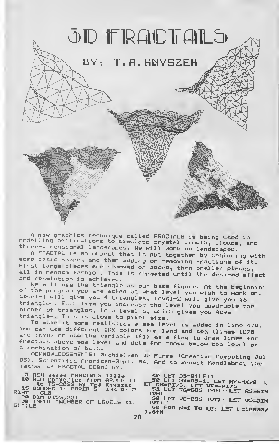

<sup>A</sup> new graphics technique called FRACTALS is being used in modelling applications to simulate crystal growth, clouds, and three-dimensional landscapes. We will work on landscapes.

A FRACTAL is an object that is put together by beginning with<br>some basic shape, and then adding or removing fractions of it. First large pieces are removed or added, then smaller pieces, all in random fashion. This is repeated until the desired effect and resolution is achieved.<br>And resolution is achieved. We will use the triangle as our base fi

of the program you are asked at what level you wish to work on.<br>Level-1 will give you 4 triangles, level-2 will give you 16<br>triangles. Each time you increase the level you quadruple the<br>number of triangles, to a level 6, w

You can use different INK colors for land and sea (lines 1070<br>and 1090) or use the variable (Fl) as a flag to draw lines for<br>fractals above sea level and dots for those below sea level or a combination of both.

ACKNOWLEDGEMENTS: Michielvan de Pamme (Creative Computing Jul 85). Scientific American-Sept. 84. And to Benoit Mandlebrot the father of FRACTAL GEOMETRY.

5 REM \*\*\*\*\* FRACTRLS \*\*\*\*\*<br>10 REM Converted from APPLE II<br>15 BORDER 1: PAPER 5: INK 0: P to TS-2063 by Ted Knyszek<br>15 BORDER 1: PAPER S: INK 0: P<br>RINT : CLS

20 DIN D (65,33)<br>30 INPUT "NUMBER OF LEVELS (1-<br>6) ";LE

40 LET DS=2tLE+1<br>50 LET HX=0S−1: LET HY=HX/2: L<br>ET RH=PI/6: LET VT=-PI/5 ET CRH) RH=PI/6: LET VT=-PI/S<br>51 LET RC=COS (RH) : LET RS=SIN S2 LET VC=COS (VT): LET VS=SIN<br>(VT) :

1.8tN FOR N=1 T° LE: LCT >-=10000/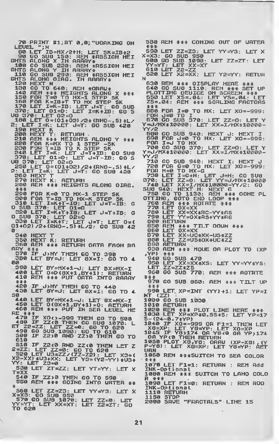70 PRINT #1;RT 0,0; "UORKING OH 580 REM \*\*\* COMING OUT OF UATER 80 LET IB=HX/21H; LET 5K=IB+2 <sup>80</sup> LET IB=MXr2tN: LET SK=IB\*2 <sup>90</sup> GO SUB 150: REM \*ASSIGN HEI GHTS ALONG X IN ARRAY\* <sup>100</sup> GO SUB 220: REM \*ASSIGN HEI GHTS ALONG <sup>Y</sup> IN ARRAY\* <sup>110</sup> GO SUB 290: REM \*ASSIGN HEI GHTS ALONG DIAG. IN ARRAY\* 120 NEXT N N 130 GO TO 640: AEH \*ORAU\* 140 AEH \*\*\* HEIGHTS ALONG X \*\*\*<br>150 FOR T=0 TO HX-1 STEP SK 160 FOR K=IB+T TO AX STEP SK<br>170 LET I=K-IB: LET J=T: GO SUB 370: LET D1=D: LET I=K-fIB; GO <sup>S</sup> UB 370: LET <sup>02</sup> =D  $180 \overline{370}$ : LET  $02=0$ <br>180 LET 0=(01+02) /2+(RH0-.5) \*L<br>2: LET I=K: LET J=T: G0 SUB 426 2: LET I=K: LET J=T: GO SUB 420 190 NEXT K 200 NEXT T: RETURN 210 AEN \*\*\* HEIGHTS ALOHG Y \*\*\*<br>220 FOA K=MX TO 1 STEP -SK<br>230 FOR T=IB TO K STEP SK<br>240 LET I=K: LET J=T+IB: GO SU8 240 LET I=K: LET J=T+IB: 6<br>370: LET 01=D: LET J=T-IB:<br>UB 370: LET 02=D 250 LET D=CD1+D2> /2+CRND-.5) \*L/ 2: LET I=K: LET J=T: GO SU8 420<br>260 HEXT T<br>270 HEXT K: <u>RETURH</u> 280 AEM \*\*\* HEIGHTS ALOMG OIAG.<br>
<sup>\*\*\*</sup> 290 FOR K=0 TO MX-1 STEP SK<br>
300 FOA T=IB TO MX-K STEP SK<br>
310 LET I=K+T-IB: LET J=T-IB: G<br>
0 SUB 370: LET 01=0 320 LET I=K+T+IB: LET J=T+IB: G O SUB 370: LET 02=0 330 LET I=K+T: LET J=T: LET D= 01+D2) /2+(RNO-.5) \*L/2: GO SUB <sup>42</sup> <sup>0</sup> -340 HEXT T<br>-350 HEXT K: RETURH<br>-350 AEM \*\*\* AETURH OATA FAOH RA<br>A<u>RY \*\*\*</u>  $\begin{array}{ll}\n\text{ARY} & \text{X11} & \text{S11} & \text{S11} & \text{S11} & \text{S11} \\
\text{370} & \text{IF} & \text{J} & \text{31} & \text{7} \\
\text{380} & \text{LET} & \text{BY=J} & \text{LET} & \text{6X=I} & \text{G0} & \text{T0}\n\end{array}$ **OLD** 390 LET BY=HX+1-J: LET BX=HX-I<br>400 LET 0=0 (8X+1, BY+1) : RETUAN<br>410 REM \*\*\* PUT OATA INTO ARAAY<br>\*\*\* 420 IF J>MY THEH GO TO 44.0<br>430 LET 8Y=J: LET 8X=I: GO TO 4 50 440 LET BY=HX+1-J: LET 8X=HX-I<br>450 LET 0(8X+1,BY+1)=0: RETURN<br>460 REM \*\*\* PUT IN SEA LEUEL HE<br>RE \*\*\* 470 IF XO 0-999 THEN GO TO 500<br>480 IF ZZ (0 THEN GO SUB 1070: L<br>ET Z2=ZZ: LET ZZ=0: GO TO 620<br>490 GO SUB 1090: GO TO 610<br>500 IF Z2>0 AMD ZZ>0 THEN GO TO<br>610 510 IF Z2<0 AMO ZZ<0 THEN LET Z 2=ZZ: LET ZZ=0: GO TO <sup>620</sup> <sup>520</sup> LET U3=ZZy (ZZ-Z2) : LET X3= X U : ^ Y3=(Y2-YY>\*U3+  $YY:$  LET  $Z3 = 0$ .<br>T=XX<br>T=XX <sup>540</sup> IF ZZ>0 THEN GO TO <sup>590</sup> <sup>550</sup> REM \*\*\* GOING INTO UATER \*\* 手 - 560 LET ZZ=Z3: LET YY=Y3: LET X<br>X=X3: 60 SUB 950<br>- 570 GO SUB 1070: LET ZZ=0: LET<br>YY=YT: LET XX=XT: LET Z2=ZT: GO<br>TO 620 2000 SAVE "FRACTALS" LINE 15

\*\*\*<br>590 LET ZZ=Z3: LET YY=Y3: LET X<br>X=X3: GO SUB 950<br>600 GO SUB 1090: LET ZZ=ZT: LET<br>YY=YT: LET XX=XT 610 LET Z2=22<br>620 LET X2=XX 620 LET X2=XX: LET Y2=YY: RETUR 630 REM \*\*\* OISPLAY HEAE \*\*\*<br>640 GO SUB 1110: REM \*\*\* SET UP PLOTTING OEUICE ON SCREEN \*\*\*<br>650 LET XS=.04: LET YS=.04: LET<br>ZS=.04: AEM \*\*\* SGRLING FAGTOAS \*\*\* <sup>660</sup> FOR 1=0 TO MX: LET XO=-999: FOR U=0 TO I 670 GO SUB 370: LET ZZ=D: LET Y Y=J7HX¥10000: LET XX=I7HX\*10000-<br>YY/2 680 GO SUB 940: HEXT J: HEXT I.<br>690 FOR J=0 TO HX: LET XO=-999: FOR I=U TO HX 700 GO SUB 370: LET ZZ=D: LET Y Y=J/HX\*10O00: LET XX=I/MX\*10000- YY /2<br>710 710 GO SUB 940: NEXT I: NEXT J 720 FOR G=0 TO MX: LET XO=-999: FOR H=0 TO MX-G 730 LET I=G+H: LET J=H: GO SUB 370: LET ZZ=D: LET YY=J/MX\*10080 740 LET XX=I/HX\*10000-YY/2: GO SUB 940: NEXT H: NEXT G 750 GO TO 1130: REM \*\*\* DONE PL OTTING, GOTO END LOOP \*\*\*<br>760 REM \*\*\* ROTATE \*\*\*<br>770 LET OX=XX 780 LET XX=XX\*RC-YY\*AS<br>790 LET YY=OX\*RS+YY\*RG<br>800 AETURN<br>850 AEM \*\*\* TILT OOUN \*\*\*<br>850 LET 0X=XX 870 LET XX=VC\*XX-VS\*ZZ 880 LET ZZ=US+OX+UC+ZZ 880 LET ZZ<br>890 AETUAN 930 AEM \*\*\* HOUE OR PLOT TO (XP ,YP) \*\*\* <sup>940</sup> GO SUB <sup>470</sup> 950 LET XX=XX¥XS: LET YY=YY¥YS:<br>LET ZZ=ZZ¥ZS 9t>0 GO SUB 770: REM \*\*\* ROTATE \*\*\*<br>970 GO SUB 860: AEM \*\*\* TILT UP<br>990 LET XP=INT (YY)+1: LET YP=I<br>NT (ZZ) 1000 GO SUB 1030 1010 RETURN 1020 REM \*\*\* PLOT LINE HERE \*\*\*<br>1030 LET XP=XP\*0.55+5: LET YP=17<br>5-(24-0.7\*YP) 1140 IF XO=-999 S=XP: LET XO==999 OR F1=1 THEN LET<br>10440 IF XO==999 OR F1=1 THEN LET<br>X8=XP: LET Y8>174 OR Y8<0 OR YP>174<br>1045 IF Y8)174 OR Y8<0 OR YP>174<br>0A YP+Y8 THEN RETURN<br>1050 PLOT X8,Y8: ORAU (XP-X8), (Y<br>P-Y8): LET X8=XP: LET Y8=YP: <sup>1060</sup> REM \*\*\*SUITCH TO SEA COLOR \*\*\* <sup>1070</sup> LET Fl=l: RETURN : REM Add INK-Optionat 1080 REM \*\*\* SUITCH TO LAND COLO 1090 LET F1=0: RETUAN : REM ROO INK-Optiona 1110 RETURN<br>1150 STOP 1150 STOP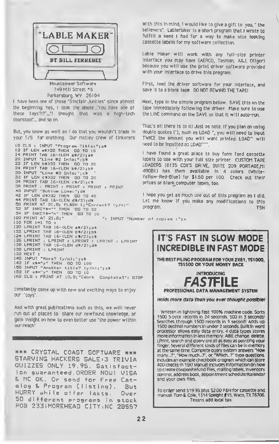

749 Hill Street "6 Parkersburg, WV 26104

<sup>I</sup> have been one of those "Sinclair Junkies" since almost

the beginning. Yes, <sup>I</sup> took the abuse. "You have one of those toys?!T...'l thought that was a high-tech doorstop!"... and so on.

But, you know as well as <sup>I</sup> do that you wouldn't trade in your T/S for anything. Our motley crew of tinkerers

10 CLS ! INPUT "Program Titles"; a\* 12 IF LEN a\* >32 THEN GO TO 10 14 PRINT TAB 16-<LEN a\*/2);a\* 20 INPUT "Lin. #2 Info:"ib\* 22 IF LEN b\*>32 THEN GO TO 20 24 PRINT TAB 16-CLEN b\*/2);b\* 30 INPUT "Lin. #3 Infos ";c\* 32 IF LEN c\*>32 THEN GO TO 30 34 PRINT TAB 16-(LEN c\*/2);c\* 38 PRINT : PRINT <sup>s</sup> PRINT <sup>s</sup> PRINT : PRINT 40 INPUT "Bottom Line:";d\* 42 IF LEN d\*>32 THEN GO TO 40 44 PRINT TAB 16-(LEN d\$/2);d\$<br>30 PRINT AT 21,8<sub>1</sub> FLASH 1;"Correct? (y/n)" 52 IF INKEY\*-"" THEN GO TO 52<br>54 IF INKEY\*-"n" THEN GO TO 10 100 PRINT AT 21, B; "<br>"s INPUT "Number of copies :";x 110 FOR i-1 TO <sup>X</sup> 120 LPRINT TAB 16-CLEN a\*/2>;a\* 122 LPRINT TAB 16-(LEN b\$/2);b\$<br>124 LPRINT TAB 16-(LEN c\$/2);c\$ 126 LPRINT : LPRINT : LPRINT ; LPRINT : LPRINT<br>12B LPRINT TAB 16-(LEN d\$/2);d\$ 130 LPRINT : LPRINT 132 NEXT <sup>i</sup> 140 INPUT "More?  $(y/n):$ "; $x$ \$<br>142 IF  $x$ \$="y" THEN 60 TO 100  $142$  IF  $x$ \$="y" THEN 150 INPUT "Another title? Cy/n>i"jx\*  $IF$   $x*= "y"$  THEN 160 CLS <sup>s</sup> PRINT AT 10,8; "[Work Complete]": STOP

constantly come up with new and exciting ways to enjoy our "toys'.

And with great publications such as this, we will never run out of places to share our newfound knowledge, or gain insight on how to even better use "the power within our reach"

\*\*\* CRYSTAL COAST SOFTWARE \*\*\* STARVING HACKERS SALE=3 TRIVIA QUIZZES ONLY 19.75. Satisfaction guar anteed . ORDER NOW! VISA MC OK. Or send for Free Catalog 8. Program {listing}. But HURRY while offer lasts. Over 50 different programs in stock POB 233 <sup>i</sup>MOREHEAD CITY,NC 28557 With this in mind, <sup>I</sup> would like to give a gift to you, " the believers". LableMaker is <sup>a</sup> short program that <sup>I</sup> wrote to fulfilli a need I had for a way to make nice looking cassette labels for my software collection.

Lable Maker will work with any full-size printer interface you may have (AERCO, Tasman, A&J, Oliger) because you will use the print driver software provided with your Interface to drive this program

First, load the driver software for your Interface, and save it to a blank tape. DO NOT REWIND THE TAPE!

Next, type In the simple program below. SAVE this on the tape immediately following the driver. Make sure to use the LINE command on the SAVE so that It will auto-run.

That's all there is to it! Just oe note. If you plan on using double quotes (\*), such as LOAD ", you will need to Input TWICE the amount you will want printed. LOAD" will need to be Inputted as LOAD\*\*\*\*

<sup>I</sup> have found a great place to buy form feed cassette labels to use with your full size printer. CUSTOM TAPE LOADERS (8135 COX'S DRIVE, SUITE 209 PORTAGE, MI 49081) has them available in 4 colors (White-Yellow-Red-Blue) for \$1.60 per 100. Check out their prices on blank computer tapes, too.

<sup>I</sup> hope you get as much use out of this program as <sup>I</sup> did. Let me know If you make any modifications to this program. T5H



THE BEST FILING PROGRAM FOR YOUR ZX81 . TS1000, TS1500 OR YOUR MONEY BACK

INTRODUCING PROFESSIONAL DATA MANAGEMENT SYSTEM

Holds more data than you ever thought possible

Written in lightning fast 100% machine code. Sorts 1500 5-byte records in 24 seconds, 500 in 5 seconds! Searches through 1500 records in <sup>1</sup> second! Adds up 1500 decimal numbers in under 2 seconds. Built in word processor allows easy data entry. 4 data types stores more information in less memory Add, change, delete, LPrint. search and Query are all as easy as pointing your finger Several different kinds of files can be in memory at the same time Complete query system answers "How many...?". "How much...?', or 'Which...?' type questions, includes an example checkbook program which can store 400 checks in 16K! Manual includes information on how to create coupon/refund files, mailing labels, inventory control, address book, appointment schedularfcalendar and your own files.

To order send S19 95 plus S2.00 P&H for cassette and manual: Tom E. Cole. 1514 Speight <sup>f</sup> 15. Waco, TX 76706. Texans add local tax.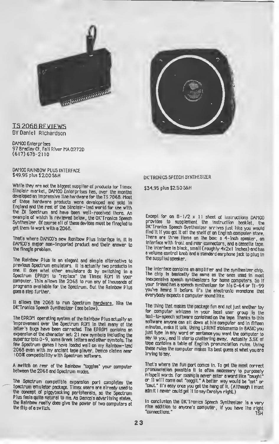

### TS 2068 RFVIFWS BY Daniel Richardson

DAMCO Enterprises 97 Bradley Ct, Fall River MA 02720 (617)678-2110

DAMCO RAINBOW PLUS INTERFACE \$49.95 plus \$2.00 S&H

While they are not the biggest supplier of products for Timex Sinclair market, DAMCO Enterprises has, over the months developed an impressive line hardware for the TS 2068. Most of these hardware products were developed and sold in England and the rest of the Sinclatr-ized world for use with the ZX Spectrum and have been well-received there. An example of which is reviewed below, the DK'Tronics Speech Synthesizer. Of course all of these devices must be finagled to get them to work with a 2068.

That's where DAMCO's new Ranibow Plus interface in. It is DAMCO's major non- imported product and their answer to the finagle problem.

The Rainbow Plus is an elegant and simple alternative to previous Spectrum emulators. It is actually two producto in one. It does what other emulators do by switching in a Spectrum EPROM to "replace" the Timex ROM in your computer. This allows the 2068 to run any of thousands of programs available for the Spectrum. But the Rainbow Plus goes a step further.

It allows the 2068 to run Spectrum hardware, like the DK'Tronics Speech Synthesizer (see below).

The EPROM operating system of the Rainbow Plus actually an improvement over the Spectrum ROM in that many of the letter's bugs have been corrected. The EPROM contains an expansion of the character set 21 new symbols including the superscripto 0-9, some Greek letters and other symbols. The few Spectrum games <sup>I</sup> have loaded well on my Rainbow-tzed <sup>2068</sup> even with my ancient tape player. Damco claims near 100\* compatibility with Spectrum software.

A switch on rear of the Rainbow "toggles" your computer between the 2068 and Spectrum modes.

The Spectrum compatible expansion port completes the Spectrum emulator package. Timex users are already used to the concept of piggybacking peripherals, so the Spectrum Plus feels quite natural to me. As Damco's advertising states, the Rainbow really does give the power of two computers at the flip of a switch.

DK'TRONICS SPEECH SYNTHESIZER

\$34.95 plus \$2.50 S&H

Except for on  $8-1/2 \times 11$  sheet of instructions DAMCO provides to supplement the instruction booklet, the DK'Tronics Speech Synthesizer arrives just like you would find it if you got it off the shelf of on English computer store. There are three items on the box: <sup>a</sup> 4-inch speaker, an interface with front and rear connectors, and <sup>a</sup> cassette tape The interface is black, small ( roughly 4x2x <sup>1</sup> Inches) and has <sup>a</sup> volume control knob and <sup>a</sup> standard earphone jack to plug in the supplied speaker.

The interface contains an amplifier and the synthesizer chip. The chip is basically the same as the ones used in most inexpensive speech synthesizers for home computers. So if your friend has a speech synthesizer for his C-64 or TI-99 you've heard 11 before. It's the electronic monotone that everybody expects a computer sound like.

The thing that makes the package fun and not just another toy for computer whizzes in your local user group is the tex1-to-speech software contoined on the tape. Thanks to this software anyone can sit down at his computer and in fifteen minutes, make it talk. Using LPRINT statements in BASIC you just type in any word or sentence you want the computer to say to you, and it sterto chattering away. Actually 3.5K of tape contains a table of English pronunciation rules. Using these rules the computer makes its best guess at whet you are trying to say.

That's where the fun port comes in. To get the most correct pronunciation possible it is often necessary to purposely<br>mispell words. For example never enter a word fike "caught" or 11 will come out "coggit." A better wey would be "cot" or "cout." It's easy once you get the hang of it. (Although I must admit I never could get it to say Carolyn right.)

In conclusion the DK'Tronics Speech Synthesizer is a very nice addition to anyone's computer, if you have the right "connections." ISH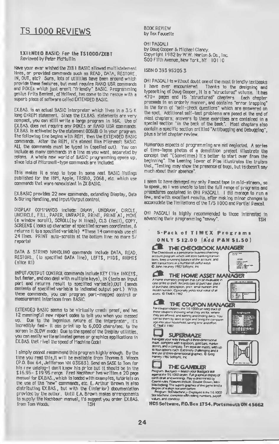### IS 1000 REVIEWS

### EXIENDED BASIC: For the TS1000/7XRT Reviewed by Peter McMullin

Have your ever wished the ZX81 BASIC allowed multistatement lines, or provided commands such es READ, DATA, RESTORE, IN, OUT, etc? Sure, lots of utilities have been around which provide these features, but most require RAND USR commends and POKEs which just aren't "friendly' BASIC. Programming genius Frits Beniest, of Holland, has come to the rescue with e superb piece of software celled EXTENDED BASIC.

EX.BAS. is an ectual BASIC interpreter which lives in a 3.5 K long O>REM statement. Since the EX.BAS. statements are very compact, you can still write a large program in 16K. Use of EX.BAS. does not require any POKEs or RAND USR commands EX.BAS. is activated by the statement 0OSUB 0 in your program The following line begins with REM. then the EXTENDED BASIC commands. After the REM, it's almost like Microsoft BASIC. ALL the commands must be typed in (spelled out). You can Include as many commands in a line as you want, separated by colons. A whole new world of BASIC programming opens up, since lots of Microsoft -type commands are included.

This makes It a snap to type in some neat BASIC listings published for the IBM. Apple, TRS80, 2068, etc. which use commands that were nonexistent in ZX BASIC.

EX.BASIC provides <sup>22</sup> new commands, extending Display, Data & String Handling, and Input/Output control.

DISPLAY COMMANDS include. DRAW, UNDRAW, CIRCLE, UNCIRCLE. FILL, PAPER, UNPAPER, PRINT, PRINT AT, MOVE (a window scroll). SCR0LL(by N lines), CIS (fast!), COPY, SCREENS ( looks up character at specified screen coordinstes, & returns it to a specified variable) "These <sup>1</sup> 4 commands use all 24 lines. PRINT auto-scrolls at the bottom line: no more 5/ reports!

DATA & STRING HANDLING commands include DATA, READ, RE510RL, (to specified DATA line), LEFT\$, MID\$, RIGHTS (slice it!)

INPUT /OUTPUT CONTROL commands include KEY (like INKEYS but faster, and con deal with multiple keys), IN (tests an input port and returns result to specified variable),OUT (sends contents of specified variable to indicated output port.) With these commands, you can program port-mapped control or measurement interfaces from BASIC.

EXTENDED BASIC seems to be virtually crash proof, and has 12 meaningful new report codes to tell you when you messed up. Due to the ingenious nature of the interpreter, it's incredibly fast- it can print up to 6,000 chars/sec. to the screen in SLOW mode! Due to the speed of the Display utilities, you can easily write animated games or graphics applications in EX.BAS. that rival tlie speed of Machine Code!

<sup>I</sup> simply cannot recommend this program highly enough. By the lime you read lhis.it will be available from Thomas B. Woods (P.O. Box 64, Jeffferson NH 03583). Send an SASE to Tom for his <sup>r</sup> sw catalog-don't know his price but it should be in the \$ 16.95- \$ 19.95 range. Fred Nachbaur has written a 20 page manual for EX.BAS. , which is loaded with examples, tutorials on the use of the "new" commands, etc. E. Arthur Brown is also distributing EX.BAS., but with the (inferior) documentation provided by the auUur. Until EA Brown makes arrangements to supply the Nachbaur manual, I'd suggest you order EX.BAS. from Tom Woods,

BOOK REVIEW by Tex Faucette

OH! PASCAL! by Doug Cooper & Michael Clancy. Copyright l982byW.W. Norton & Cb., Inc. 500 Fifth Avenue, New York, NY 10110

#### ISBN 0 393 95205 3

OH! PASCAL<sup>I</sup> is without doubt one of the most friendly textbooks <sup>I</sup> have ever encountered Thanks to the designing and 470+ pages and 15 "structured" chapters. Each chapter proceeds in an orderly manner, and contains "error trapping" in the form of "self-check questions" which are answered on the spot. Additional self- test problems are posed at the end of most chapters; answers to these exercises are contained in a special section "in the back of the book". Most chapters also contain a specific section entitled 'Antibugging and Debugging", plus a brief chapter review.

Humorous aspects of programming are not neglected A series of time-lapse photos of <sup>a</sup> demolition project illustrate the concept that "(Sometimes) it's better to start over from the beginning". The Leaning Tower of Pisa illustrates lie truism that, "Testing may show the presence of bugs, but is doesn't soy much about their absence".

<sup>I</sup> seem to have damaged my only Pascal tape in mid-stream, so to speak, so I was unable to test the full range of programs and procedures contained in OH! PASCAL!. I did manage to run a few. and with excellent results, after making minor changes to accomodate the limitations of the T/S 1000 and Partial Pascal.

OH! PASCAL! is highly recommended to those interested in advancing their programming "savvy". TSH

### 5-Pack of TIMEX Programs ONLY \$12.00 (Add PAH \$1.50) THE CHECKBOOK MANAGER The Checkbook is a pensonal or business checking<br>account program which will store banking transac- $\overline{r}$ tioris, keep a running balance of the account, and<br>1811 transactions «i a number of useful ways<br>© John Heaney 1982 Softsync, Inc 需要 THE HOME ASSET MANAGER A home invencory program that can be invaluable in<br>case of fire or theft Records dare of purchase, place<br>of purchase, description, price, senal number and E model number, Optionally yields total value of all .<br>assets © TIMEX 1962 **is ex OTMEX 1992**<br>THE COUPON MANAGER THE COUPON MANAGER<br>For coupon dippen, the 15 1000 can keep track of<br>those columns frowing what they are for where<br>they are offered, and staring and ending direct Your<br>specified your model to ppe and bing the computer<br>of Fi **SUPERMAZE** Navigate your way through a three-dimensional<br>maze, complete with trapdoors, gold bans, marker<br>stonics, and a compass. Ten separate mazes, with up to four oppons each Extremely challenging and a<br>fire use of three-dimerisional graphics, @ Greg<br>Harvey 1982 Softsync, Inc **THE GAMBLER**<br>Program Machaid: — Match your Madgade stat<br>agarist the 1/5 1000 dealer Full graphical doptay of carts drait and wereings. Play a determined by ca.<br>Casino rules. Features include: Double Down. Min-<br>Max bejang. The superb graphics of this game liend a «werk» vary man Kin before<br>«The Caracteristic matches in Deplayed is the TAS 1000<br>Sto Machine, complete with idding numbers, payoff<br>Values, and complete



HCS Software, P.O. Box 1754, Portsmouth OH 45662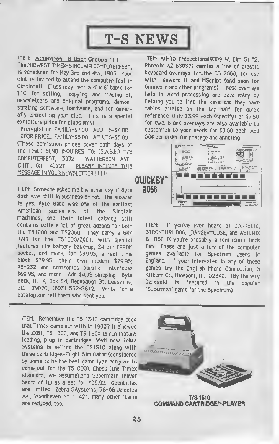# T-S NEWS

U

### ITEM: Attention TS User Groups !!!

The MIDWEST TIMEX-SINCLAIR COMPUTERFEST, is scheduled for May 3rd and 4th, 1986. Your club is invited to attend the computer fest in Cincinnati. Clubs may rent <sup>a</sup> 4' <sup>x</sup> 8' table for \$10. for seliing, copying, and trading of, newsletters and original programs, demonstrating software, hardware, and for generally promoting your club. This is a special exhibitors price for clubs onlyl

Preregistion. FAMILY-\$7.00 ADULTS-\$4.00 DOOR PRICE... FAMILY-S8.00 ADULTS-\$5.00 (These admission prices cover both days of the fest.) SEND INQUIRES TO: (S.AS.E.) T/S COMPUTERFEST, 3832 WAI1ERSON AVE., CINTI. OH 45227 PLEASE INCLUDE THIS <u>MESSAGE IN YOUR NEWSLETTER J</u>II

ITEM: Someone asked me the other day if Byte Back was still in business or not. The answer is yes. Byte Back was one of the earliest American supporters of the Sinclair machines, and their latest catalog still contains quite <sup>a</sup> lot of great addons for both the TS1000 and TS2068. They carry <sup>a</sup> 64K RAM for the TSI000/ZX81, with special features like battery back-up, 24 pin EPROM socket, and more, for \$99.95, a real time clock \$79.95; their own modem \$29.95; R5-232 and centronics parallel interfaces \$69.95; and more. Add \$4.95 shipping. Byte Back, Rt. 4, Box 54, Bednbaugh St, Leesviiie, SC. 29070, (803) 532-5812. Write for <sup>a</sup> catalog and teil them who sent you.

ITEM: Remember the TS 1510 cartridge dock that Timex came out with in 1983? It allowed the ZX81, TS 1000, and TS 1500 to run instant loading, plug-in cartridges. Weil now Zebra Systems is selling the TSI5I0 along with three cartridges-Flight Simulator (considered by some to be the best game type program to come out for the TSIOOO), Chess (the Timex standard, we assume),and Supermath (never heard of it) as a set for **\*39.95.** Quantities are limited. Zebra SAystems, 78-06 Jamaica Av., Woodhaven NY 11421. Many other items are reduced, too.

ITEM: AN-TO Productions(9009 W. Eim St.#2, Phoenix AZ 85057) carries a line of plastic keyboard overlays for- the TS 2068, for- use with Tasword II and MScript (and soon for Omnicalc and other programs). These overlays help in word processing and data entry by helping you to find the keys and they have tables printed on the top half for quick reference. Only \$3.99 each (specify) or \$7.50 for two. Blank overlays are also available to customize to your needs for \$3.00 each. Add 50< per order for postage and ahndling.



ITEM: If you've ever heard of DARKSEID, STRONTIUM DOG, DANGERMOUSE, and A5TERIX & OBELIX you're probably <sup>a</sup> real comic book fan. These are just a few of the computer games available for Spectrum users in England. If your interested in any of these games try the English Micro Connection, <sup>5</sup> Kliburn Ct., Newport, Rl. 02840. (By the way Darkseid is featured in the popular "Superman" game for the Spectrum).



T/S 1510 COMMAND CARTRIDGE™ PLAYER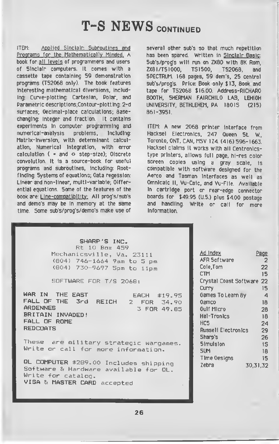# T-S NEWS CONTINUED

ITFM: Applied Sinclair: Subroutines and Programs for the Mathematically Minded, A book for all levels of programmers and users of Sinclair computers. It comes with a cassette tape containing 59 demonstration programs (TS2O60 only). The book features interesting mathematical diversions, including: Curve-plotting: Cartesian, Polar, and Parametric descriptions;Contour-plotting: 2-d surfaces; Decimal-place calculations; Basechanging: Integer and fraction. It contains experiments in computer programming and numerical-analysis problems. including: Matrix-inversion, with determinant calculation; Numerical Integration, with error calculation ( $=$  and  $\circ$  step-size); Oiscrete convolution. It is a source-book for useful programs and subroutines, including: Rootfinding: Systems of equations; Data regession: Linear and non-linear, multi-variable; Differential equations. Some of the features of the book are: Line-compatibility: All prog's/sub's and demo's may be in memory at the same time. Some sub's/prog's/demo's make use of

several other sub's so that much repetition has been spared. Written in Sinclair Basic: Sub's/prog's will run on ZX80 with 8K Rom, ZX8I/TSI000, T5I500, TS2068, and SPECTRUM. 168 pages, 59 dem's, 25 central sub's/prog's. Price: Book only \$13, Book and tape for TS2068 \$16.00. Address-RICHARD BOOTH, SHERMAN FAIRCHILD LAB, LEHIGH UNIVERSITY, BETHLEHEM. PA 18015 (215) 861-3951.

ITEM: A new 2068 printer interface from Hacksel Electronics, 247 Queen St. W., Toronto, ONT, CAN, M5V 1Z4. (416) 596-1663. Hacksel claims it works with all Centronicstype printers, allows full page, hi-res color screen copies using a gray scale, is compatible with software designed for the Aerco and Tasman interfaces as well as Omnicalc II, Vu-Caic, and Vu-File. Available in cartridge port or rear-edge connector boards for \$49.95 (U.S.) plus \$4.00 postage and handling. Write or call for more Information.

SHARP'S INC. Rt 10 Box 459 Mechanicsville, Va. 23111 (804) 746-1664 9am to 5 pm (804) 730—9697 5pm to 11pm

SOFTWARE FOR T/S 2068:

WAR IN THE EAST **EACH \$19.95**<br>FALL OF THE 3rd REICH 2 FOR 34.90 FALL OF THE 3rd REICH 2 FOR 34.90<br>ARDENNES 3 FOR 49 AS 3 FOR 49.85 BRITAIN INVADED! FALL OF ROME **REDCOATS** 

These are military strategic wargames. Write or call for more information.

QL COMPUTER \$289.00 Includes shipping Software & Hardware available for QL. Write for catalog. VISA ?< MASTER CARD accepted

| <u>Ad Index</u>           | Page     |
|---------------------------|----------|
| AFR Software              | 2        |
| Cole, Tom                 | 22       |
| CTM                       | 15       |
| Crystal Coast Software 22 |          |
| Curry                     | 15       |
| Games To Learn By         | 4        |
| Oamco                     | 18       |
| Gulf Micro                | 28       |
| Hal-Tronics               | 18       |
| HCS                       | 24       |
| Russell Electronics       | 29       |
| Sharp's                   | 26       |
| <b>Simulsion</b>          | i\$      |
| <b>SUM</b>                | 18       |
| TIme Oesigns              | 15       |
| Zebra                     | 30,31,32 |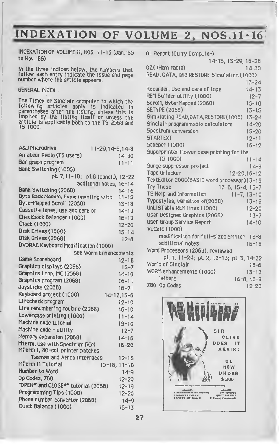# INDEXATION OF VOLUME 2, NOS.11-16

INDEXATION OF VOLUME II, NOS. <sup>1</sup> 1-16 (Jan. '85 to Nov. '85)

In the three Indices below, the numbers that follow each entry indicate the issue and page number where the article appears.

**GENERAL INDEX**.

The Timex or Sinclair computer to which the<br>following articles apply is indicated in<br>parentheses after the listing, unless this is<br>implied by the listing itself or unless the<br>article is applicable both to the TS 2068 and article is applicable both to the TS 2068 and TS 1000.

| <b>A&amp;J Microdrive</b>                  | $11 - 29, 14 - 6, 14 - 8$     |
|--------------------------------------------|-------------------------------|
| Amateur Radio (TS users)                   | $14 - 30$                     |
| Bar graph program                          | $11 - 11$                     |
| Bank Switching (1000)                      |                               |
| pt. 7,11-18; pt.8 (concl.),                | $12 - 22$                     |
|                                            | additonal notes,<br>$16 - 14$ |
| Bank Switching (2068)                      | $14 - 16$                     |
| <b>Byte Back Modem, Experimenting with</b> | $11 - 12$                     |
| Byte-Mapped Scroll (2068)                  | 15-18                         |
| Cassette tapes, use and care of            | $14 - 13$                     |
| Checkbook 8a1ancer (1000)                  | $16 - 13$                     |
| Clock (1000)                               | 12-20                         |
| Disk Drives (1000)                         | $15 - 14$                     |
| Disk Orives (2068)                         | $12 - 8$                      |
| DVORAK Keyboard Modification (1000)        |                               |
|                                            | see Worm Enhancements         |
| Game Scoreboard                            | $12 - 18$                     |
| Graphics displays (2068)                   | $1S-7$                        |
| Graphics Leop, MC (2068)                   | $14 - 19$                     |
| Graphics program (2068)                    | $16 - 11$                     |
| Joysticks (2068)                           | $16 - 21$                     |
| Keyboard project (1000)                    | 14-12,15-6                    |
| Linecheck program                          | $12 - 10$                     |
| Line renumbering routine (2068)            | $16 - 10$                     |
| Lowercase printing (1000)                  | $11 - 14$                     |
| Machine code tutorial                      | $15 - 10$                     |
| Machine code - utility                     | $12 - 7$                      |
| Memory expansion (2068)                    | $14 - 16$                     |
| Mterm, use with Spectrum ROM               | $16 - 20$                     |
| MTerm I, 80-col. printer patches           |                               |
| Tasman and Aerco interfaces                | 12-15                         |
| MTerm II Tutorial                          | $10 - 18, 11 - 10$            |
| Number to Word                             | $14 - 9$                      |
| Op Codes, Z80                              | $12 - 20$                     |
| "OPEN" and CLOSE"" tutorial (2068)         | $12 - 19$                     |
| Programming Tips (1000)                    | $12 - 20$                     |
| Phone number convertor (2068)              | $14 - 9$                      |
| Quick Balance (1000)                       | $16 - 13$                     |
|                                            |                               |

| OL Report (Curry Computer)                  |                     |                    |
|---------------------------------------------|---------------------|--------------------|
|                                             | 14-15, 15-29, 16-28 |                    |
| OZX (Ham radio)                             |                     | $14 - 30$          |
| READ, OATA, and RESTORE Simulation (1000)   |                     |                    |
|                                             |                     | $13 - 24$          |
| Recorder, Use and care of tape              |                     | $14 - 13$          |
| REM 8ullder utility (1000)                  |                     | $12 - 7$           |
| Scroll, 8yte-Mapped (2068)                  |                     | $15 - 18$          |
| <b>SETYPE (2068)</b>                        |                     | $13 - 15$          |
| Simulating READ, DATA, RESTORE(1000)        |                     | $13 - 24$          |
| Sinclair programmable calculators           |                     | $14 - 20$          |
| Spectrum conversion                         |                     | $15 - 20$          |
| <b>STARTEXT</b>                             |                     | $12 - 11$          |
| Stopper (1000)                              |                     | $16 - 12$          |
| Superprinter (lower case printing for the   |                     |                    |
| TS 1000)                                    |                     | $11 - 14$          |
| Sunge suppressor project                    |                     | $14 - 9$           |
| Tape unlocker                               |                     | $12 - 20, 16 - 12$ |
| TextEditor 2000(BASIC word processor) 13-18 |                     |                    |
| <b>Try These</b>                            | 13-8, 15-4, 16-7    |                    |
| TS Help and Information                     |                     | $11 - 7, 13 - 10$  |
| Typestyles, variation of(2068)              |                     | $13 - 15$          |
| UnLISTable REM lines (1000)                 |                     | $12 - 20$          |
| User Designed Graphics (2068)               |                     | $13 - 7$           |
| User Group Service Report                   |                     | $14 - 10$          |
| <b>VuCa1c (1000)</b>                        |                     |                    |
| modification for full-sized printer         |                     | $1S-8$             |
| additional notes                            |                     | $16 - 18$          |
| Word Processors (2068), reviewed            |                     |                    |
| pt. 1, 11-24; pt. 2, 12-13; pt. 3, 14-22    |                     |                    |
| World of Sinciair                           |                     | $16 - 6$           |
| WORM enhancements (1000)                    |                     | $13 - 13$          |
| <b>International</b>                        | <b>CALL</b>         |                    |

letters 16-8, 16-9 Z80 Opcodes 12-20

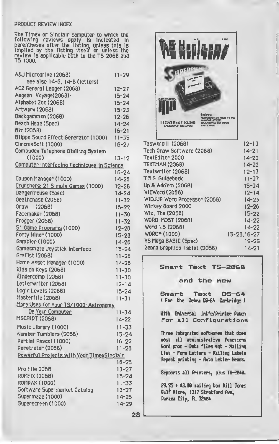### PRODUCT REVIEW INDEX

The Timex or Sinclair computer to which the following reviews apply is indicated in parentheses after the listing, unless this is implied by the listing itself or unless the review is applicable both to the TS 2068 and TS 1000.

| A&J Microdrive (2068)                          | $11 - 29$              |
|------------------------------------------------|------------------------|
| see also 14-6, 14-8 (letters)                  |                        |
| ACZ General Ledger (2068)                      | $12 - 27$              |
| Aegean Voyage(2068)-                           | $15 - 24$              |
| Alphabet Zoo (2068)                            | $15 - 24$              |
| Artworx (2068)                                 | $15 - 23$              |
| Backgammon (2068)                              | $12 - 26$              |
| Beach Head (Spec)                              | $14 - 24$              |
| 81z (2068)                                     | $16 - 21$              |
| 811ppo Sound Effect Generator (1000)           | $11 - 35$              |
| ChromaSoft (1000)                              | 16-27                  |
| Compudex Telephone Olalling System             |                        |
| (1000)                                         | $13 - 12$              |
| Computer Interfacing Techniques in Science     |                        |
|                                                | $16 - 24$              |
| Coupon Manager (1000)                          | 14-26                  |
| Crunchers: 21 Simple Games (1000)              | $12 - 28$              |
| Dangermouse (Spec)                             | $14 - 24$              |
| Oeathchase (2068)                              | $11 - 32$              |
| Oraw II (2068)                                 | $16 - 22$              |
| Facemaker (2068)                               | $11 - 30$              |
| Frogger (2068)                                 | $11 - 32$              |
| 51 Game Programs (1000)                        | $12 - 28$              |
| Forty Niner (1000)<br>Gambler (1000)           | $15 - 28$              |
|                                                | $14 - 26$              |
| Gamesmate Joystick Interface<br>Graf1st (2068) | $15 - 24$              |
| Home Asset Manager (1000)                      | $11 - 26$              |
| Kids on Keys (2068)                            | $14 - 26$              |
| KIndercomp (2068)                              | $11 - 30$              |
| Letterwriter (2068)                            | $11 - 30$              |
| Logic Levels (2068)                            | $12 - 14$<br>$15 - 24$ |
| Masterfile (2068)                              | $11 - 31$              |
| More Uses for Your TS/1000: Astronomy          |                        |
| <u>On Your Computer</u>                        | $11 - 34$              |
| <b>MSCRIPT (2068)</b>                          | 14-22                  |
|                                                | $11 - 33$              |
| Music Library (1000)<br>Number Tumblers (2068) | $15 - 24$              |
| Partlal Pascal (1000)                          | $16 - 22$              |
| Penetrator (2068)                              | $11 - 28$              |
| Powerful Projects with Your TimexSinciair      |                        |
|                                                | $16 - 25$              |
| Pro F11e 2068                                  | $13 - 27$              |
| <b>ROMFIX (2068)</b>                           | $15 - 24$              |
| <b>ROMPAK (1000)</b>                           | $11 - 33$              |
| Software Supermarket Catalog                   | $13 - 27$              |
| Supermaze (1000)                               | $14 - 26$              |
| Superscreen (1000)                             | $14 - 29$              |
|                                                |                        |



| Tech Oraw Software (2068)    | $14 - 21$    |
|------------------------------|--------------|
| TextEditor 2000              | $14 - 22$    |
| TEXTMAN (2068)               | 14-22        |
| Textwriter (2068)            | 12-13        |
| T.5.S. Guldebook             | $11 - 27$    |
| Up & Add'em (2068)           | $15 - 24$    |
| VIEWord (2068)               | $12 - 14$    |
| WIDJUP Word Processor (2068) | $14 - 23$    |
| Winkey Board 2000            | $12 - 26$    |
| WIz, The (2068)              | $15 - 22$    |
| WORD-MO5T (2068)             | 14-22        |
| Word 1.5 (2068)              | 14-22        |
| WORD* (1000)                 | 15-28.16-27  |
| YS Mega BASIC (Spec)         | <b>IS-2S</b> |
| Zebra Graphics Tablet (2068) | 14-21        |
|                              |              |

### Smart Text TS-2068

### and the new

Smart Text OS-64 ( For the Zebra OS-64 Cartridge )

With Universal Intfc/Printer Patch For all Configurations

Three Integrated softwares that does ost all administrative functions Uord proc - Data files «gt - Nailing List - Fore Letters - Nailing Labels Repeat printing - Auto Letter Heads.

Supports all Printers, plus TS-2848.

29. 95 + \*3.W Bailing to: Bill Jones Gulf Nicre, 1317 Stratford 'Ave, Parana City, FL 32484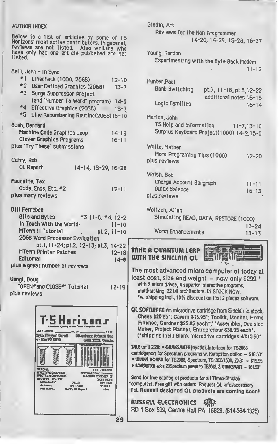### AUTHOR INDEX

| Below is a list of articles by some of TS<br>Herizons' most active contributors. In general,<br>reviews are not listed. Also writers who<br>have only had one article published are not<br>listed.                                                                                                                                                                                                                                                                                                                                  |                                                                                                          |
|-------------------------------------------------------------------------------------------------------------------------------------------------------------------------------------------------------------------------------------------------------------------------------------------------------------------------------------------------------------------------------------------------------------------------------------------------------------------------------------------------------------------------------------|----------------------------------------------------------------------------------------------------------|
| 8e11, John - In Sync<br>≝∣ -<br>Linecheck (1000, 2068)<br>$12 - 10$<br>$^*2$<br>User Defined Graphics (2068)<br>$13 - 7$<br>#3<br>Sunge Suppresson Project<br>(and "Number To Word" program) 14-9<br>$-4$<br>Effective Graphics (2068)<br>$15 - 7$<br>#5<br>Line Renumbering Routine(2068)16-10                                                                                                                                                                                                                                     |                                                                                                          |
| <b>8ush, Bernard</b><br>Machine Code Graphics Loop<br>14-19<br>Clover Graphics Programs<br>$16 - 11$<br>plus "Try These" submissions                                                                                                                                                                                                                                                                                                                                                                                                |                                                                                                          |
| Curry, Reb<br>OL Report<br>14-14, 15-29, 16-28                                                                                                                                                                                                                                                                                                                                                                                                                                                                                      |                                                                                                          |
| Faucette, Tex<br>Odds, Ends, Etc. #2<br>$12 - 11$<br>plus many reviews                                                                                                                                                                                                                                                                                                                                                                                                                                                              |                                                                                                          |
| <b>BIII Ferrebee</b><br>81ts and 8ytes<br>$-3,11-8, -4, 12-2$<br>In Touch With the World-<br>$\frac{11-10}{pt}$<br>MTerm II Tutorial<br>2068 Word Processer Evaluation<br>pt.1,11-24; pt.2, 12-13; pt.3, 14-22<br>MTerm Printer Patches<br>$12 - 15$                                                                                                                                                                                                                                                                                | TRI<br>m.                                                                                                |
| <b>Editorial</b><br>$14 - e$<br>plus a great number of reviews                                                                                                                                                                                                                                                                                                                                                                                                                                                                      | The                                                                                                      |
| Gangl, Doug<br>"OPEN*and CLOSE*" Tutorial<br>$12 - 19$<br>plus reviews                                                                                                                                                                                                                                                                                                                                                                                                                                                              | lea<br>n<br>₽                                                                                            |
| ii Campuler Us<br>rdable Quality for the<br><b>JULY AUGUST.</b><br>, No. 191.<br>12.00<br>tyto Eleggal Caroll<br><b>90-subsect</b> Printer Dec<br><b>10 So TS 2000</b><br>tota 2001 Voenia<br>E<br><b>13 2068:</b><br>2391-151000<br><b>EFFECTIVE ORAPHICE</b><br><b>EXYDOARD Medifications</b><br><b>SPECTRUM Conversion</b><br><b>MACKINE COOL GERIES</b><br><b>BIVIEWS. The WIZ</b><br>zkoi neve<br><b>MEDABASIC</b><br><b>PLUS:</b><br>REVIEWS.<br>Artware<br>Try These<br>VOID *<br>ond mars<br><b>Curry OL Report</b><br>49er | OL :<br>$\mathbf C$<br>F<br>M<br>Ċ<br>SALE<br>cart<br>- 世<br>$-10$<br>Serx<br>'com<br>list.<br>AU:<br>RD |
| 29                                                                                                                                                                                                                                                                                                                                                                                                                                                                                                                                  |                                                                                                          |

| Gindin, Art                                                                                                            |  |
|------------------------------------------------------------------------------------------------------------------------|--|
| Reviews for the Non Programmer                                                                                         |  |
| 14-20, 14-29, 15-28, 16-27                                                                                             |  |
|                                                                                                                        |  |
| Young, Gordon                                                                                                          |  |
| Experimenting with the Byte Back Modem                                                                                 |  |
| $11 - 12$                                                                                                              |  |
|                                                                                                                        |  |
| Hunter, Paul                                                                                                           |  |
| Bank Switching<br>pt.7, 11-18, pt.8, 12-22                                                                             |  |
| additional notes 16-15                                                                                                 |  |
| Logic Families<br>$16 - 14$                                                                                            |  |
|                                                                                                                        |  |
| Marlon, John                                                                                                           |  |
| TS Help and Information<br>$11 - 7, 13 - 10$                                                                           |  |
| Surplus Keyboard Project(1000) 14-2,1S-6                                                                               |  |
|                                                                                                                        |  |
| White, Mather                                                                                                          |  |
| More Programing Tips (1000)<br>$12 - 20$<br>plus reviews                                                               |  |
|                                                                                                                        |  |
| Wolsh, 8ob                                                                                                             |  |
| Charge Account Bargraph                                                                                                |  |
| $11 - 11$<br><b>Ouick Balance</b>                                                                                      |  |
| $16 - 13$<br>plus reviews                                                                                              |  |
|                                                                                                                        |  |
|                                                                                                                        |  |
| Wollach, Allen                                                                                                         |  |
|                                                                                                                        |  |
| Simulating READ, DATA, RESTORE (1000)<br>$13 - 24$                                                                     |  |
| Worm Enhancements<br>$13 - 13$                                                                                         |  |
|                                                                                                                        |  |
| <b>RAMAGGIHHUILMAN</b><br>TRKE A QUANTUM LERP                                                                          |  |
| WITH THE SINCLAIR OL                                                                                                   |  |
|                                                                                                                        |  |
| The most advanced micro computer of today at                                                                           |  |
| least cost, size and weight - now only \$299.*                                                                         |  |
| with 2 micro drives, 4 superior interactive programs,                                                                  |  |
| multi-tasking, 32 bit architecture. IN STOCK NOW.                                                                      |  |
| "w. shipping incl., 10% discount on first 2 pieces software.                                                           |  |
|                                                                                                                        |  |
| OL SOFTWARE on microdrive cartridge from Sinclair in stock.<br>Chess \$20.95°; Cavern \$15.95°; Toolklt, Monitor, Home |  |
| Finance, Gardner \$25.95 each";" "Assembler, Decision                                                                  |  |
| Maker, Project Planner, Entrepreneur \$38.95 each*.                                                                    |  |
| ("shipping Incl.) Blank microdrive cartridges 4/\$10.50"                                                               |  |
| SRLE until 2/28: . GRMESMATE joystick-interface for TS2068                                                             |  |
| cartridgeport for Spectrum programs w. Kempston option - \$18.50'                                                      |  |
| " WINNY BOARD for TS2068, Spectrum, TS1000/1500, ZX81 - \$19.95                                                        |  |
| • ROMSUITCH adds ZXSpectrum power to TS2068, & GRMESMATE - \$61.50°                                                    |  |
| Send for free catalog of products for all Timex-Sinclair                                                               |  |
| computers. Free gift with orders. Request OL infoJaccessory                                                            |  |
| list. Russell designed QL products are coming soon!                                                                    |  |
|                                                                                                                        |  |
| RUSSELL ELECTRONICS SARR<br>RD 1 Box 539, Centre Hall PA 16828. (814-364-1325)                                         |  |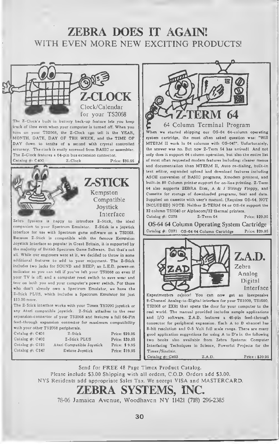### ZEBRA DOES IT AGAIN! WITH EVEN MORE NEW EXCITING PRODUCTS!



Second the control of a Column Terminal Propries (SLAP)<br>
The Column Terminal Propries (SLAP)<br>
For the matter stated shipping our OS-64 64-column<br>
For Example of A Column Terminal Propries (SLAP)<br>
MTERM II work in 64 colum 64 Column Terminal Program When we started shipping our OS-64 64-column operating system cartridge, the most often asked question was: "Will MTERM II work in <sup>64</sup> columns with OS-64?". Unfortunately, the answer was no. But now Z-Term 64 has arrived! And not only does it support 64 column operation, but also the entire list of most often requested modem features including: clearer menus and documentation than MTERM II, Auto re-dialing, built-in text editor, expanded upload and download features including ASCII conversion of BASIC programs, Xmodem protocol, and built-in 80 Column printer support for on-line printing. Z-Term <sup>64</sup> also supports ZEBRA Disk, A & <sup>J</sup> Stringy Floppy, and Cassette for storage of downloaded programs, text and data. Supplied on cassette with user's manual. (Requires OS-64, NOT INCLUDED) NOTE: Neither Z-TERM 64 or OS-64 support the 32 column TS2040 or Alphacom/32 thermal printers. Catalog #: C278 Z-Term 64 Price: \$29.95 OS-64 64 Column Operating System Cartridge Catalog #: C271 OS-64 64 Column Cartridge Price: \$29.95 Z.A.D. Zebra Analog Digital Interface Experimenters rejoice! You can now get an inexpensive 8-Channel Analog-to-Digital interface for your TS1000, TS1500, TS2068 or ZX81 that opens the door for your computer to the real world. The manual provided includes sample applications and I/O software. Z.A.D. features a 46-pin feed-through connector for peripheral expansion. Each A to D channel has 8-bit resolution and 0-5 Volt full scale range. There are many

Send for FREE 48 Page Timex Product Catalog. Please include \$3.00 Shipping with all orders, C.O.D. Orders add \$3.00. NYS Residents add appropriate Sales Tax. We accept VISA and MASTERCARD.

## ZEBRA SYSTEMS, INC.

78-06 Jamaica Avenue, Woodhavcn NY <sup>11421</sup> (718) 296-2385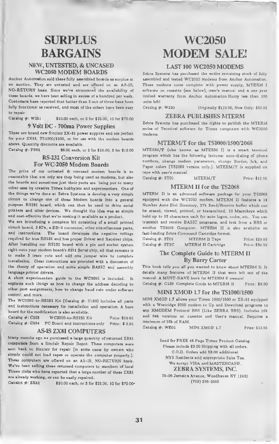### NEW, UNTESTED, & UNCASED WC2050 MODEM BOARDS

Anchor Automation sold these fully assembled boards as surplus at an auction. They are untested and are offered on an AS-IS, NO-RETURN basis. Since we've announced the availability of these boards, we have been selling in excess of a hundred per week. Customers have reported that better than <sup>2</sup> out of three have been fully functional as received, and most of the others have been easy to repair.

Catalog #: W251 \$10.00 each, or 3 for \$25.00, 10 for \$70.00

### 9 Volt DC - 700ma Power Supplies

These are brand new Sinclair ZX-81 power supplies and are perfect for your ZX81, TS1000/1500, or for use with the modem boards above. Quantity discounts are available.

Catalog  $\#$ : PS01  $\$6.00$  each, or 2 for \$10.00, 3 for \$12.00

### RS-232 Conversion Kit For WC-2050 Modem Boards

The price of our untested & uncased modem boards is so reasonable that not only are they being used as modems, but also the boards and sometimes just their parts are being put to many other uses by creative Timex hobbyists and experimenters. One of the things we've done at Zebra Systems is develop a very simple circuit to change one of these Modem boards into a general purpose RS232 board, which can then be used to drive serial printers and other devices. We thought the idea was so simple and cost-effective that we're making it available as a product.

We are introducing a complete kit consisting of a small printed circuit board, 3 IC's, a DB-9 connector, other miscellaneous parts, and instructions. The board developes the negative voltage required for true RS232 and has proper Driver and Receiver chips. After installing our RS232 board with a pin and socket system right onto your modem board's 8251 Serial chip, all that remains is to make <sup>3</sup> trace cuts and add one jumper wire to complete installation. Clear instructions are provided with a discussion of the theory of operation and some simple BASIC and assembly language printer drivers.

A short experimenters guide to the WC2050 is included. It explains such things as how to change the address decoding to other port assignments, how to change baud rate under software control, and more.

The WC2050-to-RS232 Kit (Catalog #: C183) Includes all parts and instructions necessary for installation and operation. A bare board for the modification is also available.

| Catalog $\#$ : C183 | WC2050-to-RS232 Kit            | Price: \$19.95  |
|---------------------|--------------------------------|-----------------|
| Catalog $\#$ : C184 | PC Board and Instructions only | Price: $$ 5.95$ |

### AS-IS ZX81 COMPUTERS

Many months ago we purchased <sup>a</sup> large quantity of returned ZX81 computers from a Sinclair Repair Depot. These computers were asnt back to Sinclair for repair (in some cases by owners who simply could not load tapes or operate the computer properly.). These computers are offered on an AS-IS, NO-RETURN basis. We've been selling these returned computers to msmbers of local Timex dubs who have reported that <sup>a</sup> large number of these ZX81 are already working, or can be easily repaired.

Catalox  $\#$ : ZX81  $$10.00$  sach, or 3 for \$25.00, 10 for \$70.00-

# SURPLUS WC2050 BARGAINS MODEM SALE!

### LAST <sup>100</sup> WC2050 MODEMS

Zebra Systems has purchased the entire remaining stock of fully assembled and tested WC2050 modems from Anchor Automation. These modems come complete with power supply, MTERM <sup>I</sup> software on cassette (see below), user's manual and a one year limited warranty from Anchor Automation. Hurry less than 100 units left!

Catalog #: W250 Originally \$119.00, Now Only: \$69.95

### ZEBRA PUBLISHES MTERM

Zebra Systems has purchased the rights to publish the MTERM series of Terminal software for Timex computers with WC2050 modems.

### MTERM/T for the TSI000/1500/2068

MTERM/T (also known as MTERM I) is a smart terminal program which has the following features: auto-dialing of phone numbers, change modem parameters, change Border, Ink, and Paper colors (TS2068 version only.). MTERM/T is supplied on tape with user's manual.

Catalog #: ST01 MTERM/T Price: \$12.95

### MTERM II for the TS2068

MTERM II is an advanced software package for your TS2068 equipped with the WC2050 modem. MTERM II features <sup>a</sup> <sup>14</sup> Number Auto Dial Directory, 27k Send/Receive buffer which can be erased, viewed, printed, or transmitted, 10 Macrokeys which hold up to 53 characters each for auto logon, codes, etc.. You can transmit and receive BASIC programs, and text from a BBS or another TS2068 Computer. MTERM II is also available on fast-loading Zebra Command Cartridge format.

| Catalog $\#$ : ST02 | MTERM $II$ Tape    | Price: \$29.95 |
|---------------------|--------------------|----------------|
| $Catalog$ #: $ST2C$ | MTERM Il Cartridge | Price: \$34.95 |

### The Complete Guide to MTERM II By Barry Carter

This book tells you all you wanted to know about MTERM II. It details many features of MTERM II that were left out of the manual. A MUST-HAVE book for MTERM II owners!

Catalog #: C139 Complete Guide to MTERM II Price: \$8.00

### MINI XMOD 1.7 for the TS1000/1500

MINI XMOD 1.7 allows your Timex 1000/1500 or ZX-81 equipped with <sup>a</sup> Westridge 2050 modem to Up and Download programs to any XMODEM Protocol BBS (Like ZEBRA BBS). Includes 16k and 64k versions on cassette and User's manual. Requires a minimum of 16k of RAM.

Catalog #: WE01 MINI XMOD 1.7 Price: \$19.95

Send for FREE <sup>48</sup> Page Timex Product Catalog. Please include \$3.00 Shipping with all orders. C.O.D. Orders add \$3.00 additional. NYS Residents add appropriate Sales Tax. We accept VISA and MASTERCARD. ZEBRA SYSTEMS, INC. 78-06 Jamaica Avenue, Woodhaven NY <sup>11421</sup> (718) 296-2385